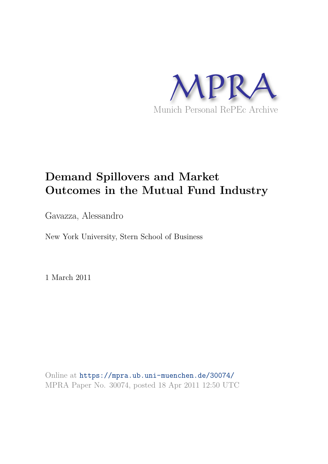

# **Demand Spillovers and Market Outcomes in the Mutual Fund Industry**

Gavazza, Alessandro

New York University, Stern School of Business

1 March 2011

Online at https://mpra.ub.uni-muenchen.de/30074/ MPRA Paper No. 30074, posted 18 Apr 2011 12:50 UTC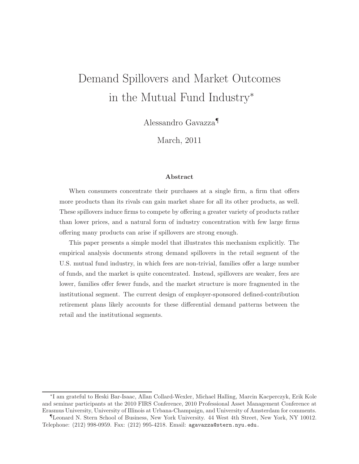# Demand Spillovers and Market Outcomes in the Mutual Fund Industry<sup>∗</sup>

Alessandro Gavazza¶

March, 2011

#### Abstract

When consumers concentrate their purchases at a single firm, a firm that offers more products than its rivals can gain market share for all its other products, as well. These spillovers induce firms to compete by offering a greater variety of products rather than lower prices, and a natural form of industry concentration with few large firms offering many products can arise if spillovers are strong enough.

This paper presents a simple model that illustrates this mechanism explicitly. The empirical analysis documents strong demand spillovers in the retail segment of the U.S. mutual fund industry, in which fees are non-trivial, families offer a large number of funds, and the market is quite concentrated. Instead, spillovers are weaker, fees are lower, families offer fewer funds, and the market structure is more fragmented in the institutional segment. The current design of employer-sponsored defined-contribution retirement plans likely accounts for these differential demand patterns between the retail and the institutional segments.

<sup>∗</sup> I am grateful to Heski Bar-Isaac, Allan Collard-Wexler, Michael Halling, Marcin Kacperczyk, Erik Kole and seminar participants at the 2010 FIRS Conference, 2010 Professional Asset Management Conference at Erasmus University, University of Illinois at Urbana-Champaign, and University of Amsterdam for comments.

<sup>¶</sup>Leonard N. Stern School of Business, New York University. 44 West 4th Street, New York, NY 10012. Telephone: (212) 998-0959. Fax: (212) 995-4218. Email: agavazza@stern.nyu.edu.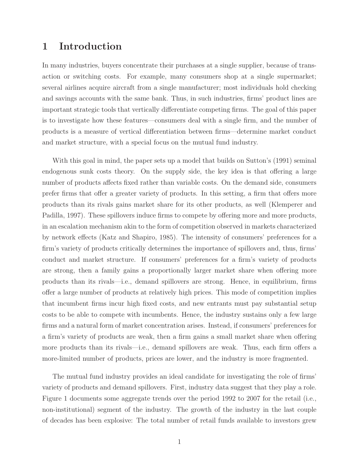### 1 Introduction

In many industries, buyers concentrate their purchases at a single supplier, because of transaction or switching costs. For example, many consumers shop at a single supermarket; several airlines acquire aircraft from a single manufacturer; most individuals hold checking and savings accounts with the same bank. Thus, in such industries, firms' product lines are important strategic tools that vertically differentiate competing firms. The goal of this paper is to investigate how these features—consumers deal with a single firm, and the number of products is a measure of vertical differentiation between firms—determine market conduct and market structure, with a special focus on the mutual fund industry.

With this goal in mind, the paper sets up a model that builds on Sutton's (1991) seminal endogenous sunk costs theory. On the supply side, the key idea is that offering a large number of products affects fixed rather than variable costs. On the demand side, consumers prefer firms that offer a greater variety of products. In this setting, a firm that offers more products than its rivals gains market share for its other products, as well (Klemperer and Padilla, 1997). These spillovers induce firms to compete by offering more and more products, in an escalation mechanism akin to the form of competition observed in markets characterized by network effects (Katz and Shapiro, 1985). The intensity of consumers' preferences for a firm's variety of products critically determines the importance of spillovers and, thus, firms' conduct and market structure. If consumers' preferences for a firm's variety of products are strong, then a family gains a proportionally larger market share when offering more products than its rivals—i.e., demand spillovers are strong. Hence, in equilibrium, firms offer a large number of products at relatively high prices. This mode of competition implies that incumbent firms incur high fixed costs, and new entrants must pay substantial setup costs to be able to compete with incumbents. Hence, the industry sustains only a few large firms and a natural form of market concentration arises. Instead, if consumers' preferences for a firm's variety of products are weak, then a firm gains a small market share when offering more products than its rivals—i.e., demand spillovers are weak. Thus, each firm offers a more-limited number of products, prices are lower, and the industry is more fragmented.

The mutual fund industry provides an ideal candidate for investigating the role of firms' variety of products and demand spillovers. First, industry data suggest that they play a role. Figure 1 documents some aggregate trends over the period 1992 to 2007 for the retail (i.e., non-institutional) segment of the industry. The growth of the industry in the last couple of decades has been explosive: The total number of retail funds available to investors grew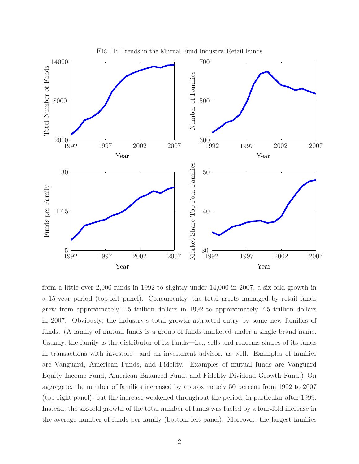

Fig. 1: Trends in the Mutual Fund Industry, Retail Funds

from a little over 2,000 funds in 1992 to slightly under 14,000 in 2007, a six-fold growth in a 15-year period (top-left panel). Concurrently, the total assets managed by retail funds grew from approximately 1.5 trillion dollars in 1992 to approximately 7.5 trillion dollars in 2007. Obviously, the industry's total growth attracted entry by some new families of funds. (A family of mutual funds is a group of funds marketed under a single brand name. Usually, the family is the distributor of its funds—i.e., sells and redeems shares of its funds in transactions with investors—and an investment advisor, as well. Examples of families are Vanguard, American Funds, and Fidelity. Examples of mutual funds are Vanguard Equity Income Fund, American Balanced Fund, and Fidelity Dividend Growth Fund.) On aggregate, the number of families increased by approximately 50 percent from 1992 to 2007 (top-right panel), but the increase weakened throughout the period, in particular after 1999. Instead, the six-fold growth of the total number of funds was fueled by a four-fold increase in the average number of funds per family (bottom-left panel). Moreover, the largest families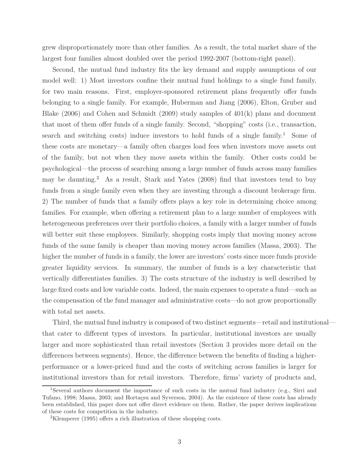grew disproportionately more than other families. As a result, the total market share of the largest four families almost doubled over the period 1992-2007 (bottom-right panel).

Second, the mutual fund industry fits the key demand and supply assumptions of our model well: 1) Most investors confine their mutual fund holdings to a single fund family, for two main reasons. First, employer-sponsored retirement plans frequently offer funds belonging to a single family. For example, Huberman and Jiang (2006), Elton, Gruber and Blake  $(2006)$  and Cohen and Schmidt  $(2009)$  study samples of  $401(k)$  plans and document that most of them offer funds of a single family. Second, "shopping" costs (i.e., transaction, search and switching costs) induce investors to hold funds of a single family.<sup>1</sup> Some of these costs are monetary—a family often charges load fees when investors move assets out of the family, but not when they move assets within the family. Other costs could be psychological—the process of searching among a large number of funds across many families may be daunting.<sup>2</sup> As a result, Stark and Yates  $(2008)$  find that investors tend to buy funds from a single family even when they are investing through a discount brokerage firm. 2) The number of funds that a family offers plays a key role in determining choice among families. For example, when offering a retirement plan to a large number of employees with heterogeneous preferences over their portfolio choices, a family with a larger number of funds will better suit these employees. Similarly, shopping costs imply that moving money across funds of the same family is cheaper than moving money across families (Massa, 2003). The higher the number of funds in a family, the lower are investors' costs since more funds provide greater liquidity services. In summary, the number of funds is a key characteristic that vertically differentiates families. 3) The costs structure of the industry is well described by large fixed costs and low variable costs. Indeed, the main expenses to operate a fund—such as the compensation of the fund manager and administrative costs—do not grow proportionally with total net assets.

Third, the mutual fund industry is composed of two distinct segments—retail and institutional that cater to different types of investors. In particular, institutional investors are usually larger and more sophisticated than retail investors (Section 3 provides more detail on the differences between segments). Hence, the difference between the benefits of finding a higherperformance or a lower-priced fund and the costs of switching across families is larger for institutional investors than for retail investors. Therefore, firms' variety of products and,

<sup>1</sup>Several authors document the importance of such costs in the mutual fund industry (e.g., Sirri and Tufano, 1998; Massa, 2003; and Hortaçsu and Syverson, 2004). As the existence of these costs has already been established, this paper does not offer direct evidence on them. Rather, the paper derives implications of these costs for competition in the industry.

<sup>2</sup>Klemperer (1995) offers a rich illustration of these shopping costs.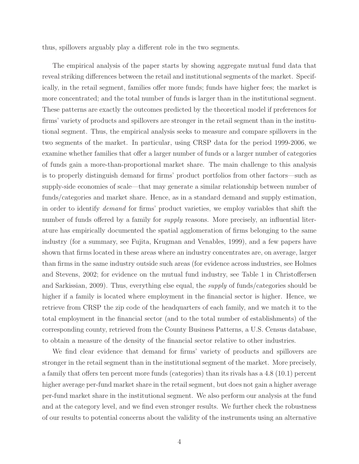thus, spillovers arguably play a different role in the two segments.

The empirical analysis of the paper starts by showing aggregate mutual fund data that reveal striking differences between the retail and institutional segments of the market. Specifically, in the retail segment, families offer more funds; funds have higher fees; the market is more concentrated; and the total number of funds is larger than in the institutional segment. These patterns are exactly the outcomes predicted by the theoretical model if preferences for firms' variety of products and spillovers are stronger in the retail segment than in the institutional segment. Thus, the empirical analysis seeks to measure and compare spillovers in the two segments of the market. In particular, using CRSP data for the period 1999-2006, we examine whether families that offer a larger number of funds or a larger number of categories of funds gain a more-than-proportional market share. The main challenge to this analysis is to properly distinguish demand for firms' product portfolios from other factors—such as supply-side economies of scale—that may generate a similar relationship between number of funds/categories and market share. Hence, as in a standard demand and supply estimation, in order to identify demand for firms' product varieties, we employ variables that shift the number of funds offered by a family for *supply* reasons. More precisely, an influential literature has empirically documented the spatial agglomeration of firms belonging to the same industry (for a summary, see Fujita, Krugman and Venables, 1999), and a few papers have shown that firms located in these areas where an industry concentrates are, on average, larger than firms in the same industry outside such areas (for evidence across industries, see Holmes and Stevens, 2002; for evidence on the mutual fund industry, see Table 1 in Christoffersen and Sarkissian, 2009). Thus, everything else equal, the supply of funds/categories should be higher if a family is located where employment in the financial sector is higher. Hence, we retrieve from CRSP the zip code of the headquarters of each family, and we match it to the total employment in the financial sector (and to the total number of establishments) of the corresponding county, retrieved from the County Business Patterns, a U.S. Census database, to obtain a measure of the density of the financial sector relative to other industries.

We find clear evidence that demand for firms' variety of products and spillovers are stronger in the retail segment than in the institutional segment of the market. More precisely, a family that offers ten percent more funds (categories) than its rivals has a 4.8 (10.1) percent higher average per-fund market share in the retail segment, but does not gain a higher average per-fund market share in the institutional segment. We also perform our analysis at the fund and at the category level, and we find even stronger results. We further check the robustness of our results to potential concerns about the validity of the instruments using an alternative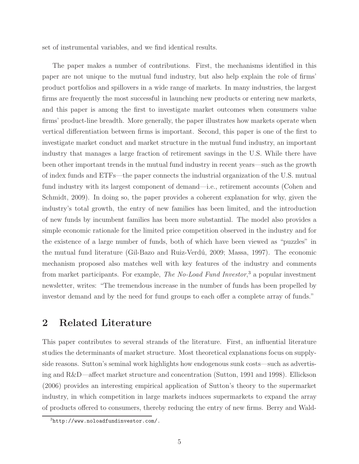set of instrumental variables, and we find identical results.

The paper makes a number of contributions. First, the mechanisms identified in this paper are not unique to the mutual fund industry, but also help explain the role of firms' product portfolios and spillovers in a wide range of markets. In many industries, the largest firms are frequently the most successful in launching new products or entering new markets, and this paper is among the first to investigate market outcomes when consumers value firms' product-line breadth. More generally, the paper illustrates how markets operate when vertical differentiation between firms is important. Second, this paper is one of the first to investigate market conduct and market structure in the mutual fund industry, an important industry that manages a large fraction of retirement savings in the U.S. While there have been other important trends in the mutual fund industry in recent years—such as the growth of index funds and ETFs—the paper connects the industrial organization of the U.S. mutual fund industry with its largest component of demand—i.e., retirement accounts (Cohen and Schmidt, 2009). In doing so, the paper provides a coherent explanation for why, given the industry's total growth, the entry of new families has been limited, and the introduction of new funds by incumbent families has been more substantial. The model also provides a simple economic rationale for the limited price competition observed in the industry and for the existence of a large number of funds, both of which have been viewed as "puzzles" in the mutual fund literature (Gil-Bazo and Ruiz-Verdú, 2009; Massa, 1997). The economic mechanism proposed also matches well with key features of the industry and comments from market participants. For example, *The No-Load Fund Investor*,<sup>3</sup> a popular investment newsletter, writes: "The tremendous increase in the number of funds has been propelled by investor demand and by the need for fund groups to each offer a complete array of funds."

# 2 Related Literature

This paper contributes to several strands of the literature. First, an influential literature studies the determinants of market structure. Most theoretical explanations focus on supplyside reasons. Sutton's seminal work highlights how endogenous sunk costs—such as advertising and R&D—affect market structure and concentration (Sutton, 1991 and 1998). Ellickson (2006) provides an interesting empirical application of Sutton's theory to the supermarket industry, in which competition in large markets induces supermarkets to expand the array of products offered to consumers, thereby reducing the entry of new firms. Berry and Wald-

 $3$ http://www.noloadfundinvestor.com/.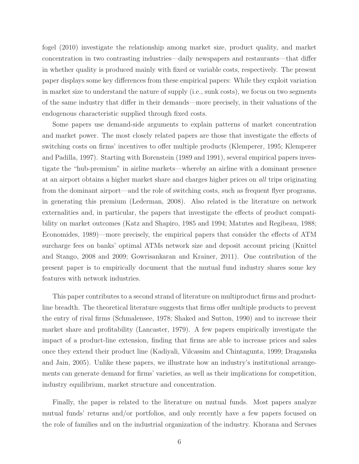fogel (2010) investigate the relationship among market size, product quality, and market concentration in two contrasting industries—daily newspapers and restaurants—that differ in whether quality is produced mainly with fixed or variable costs, respectively. The present paper displays some key differences from these empirical papers: While they exploit variation in market size to understand the nature of supply (i.e., sunk costs), we focus on two segments of the same industry that differ in their demands—more precisely, in their valuations of the endogenous characteristic supplied through fixed costs.

Some papers use demand-side arguments to explain patterns of market concentration and market power. The most closely related papers are those that investigate the effects of switching costs on firms' incentives to offer multiple products (Klemperer, 1995; Klemperer and Padilla, 1997). Starting with Borenstein (1989 and 1991), several empirical papers investigate the "hub-premium" in airline markets—whereby an airline with a dominant presence at an airport obtains a higher market share and charges higher prices on all trips originating from the dominant airport—and the role of switching costs, such as frequent flyer programs, in generating this premium (Lederman, 2008). Also related is the literature on network externalities and, in particular, the papers that investigate the effects of product compatibility on market outcomes (Katz and Shapiro, 1985 and 1994; Matutes and Regibeau, 1988; Economides, 1989)—more precisely, the empirical papers that consider the effects of ATM surcharge fees on banks' optimal ATMs network size and deposit account pricing (Knittel and Stango, 2008 and 2009; Gowrisankaran and Krainer, 2011). One contribution of the present paper is to empirically document that the mutual fund industry shares some key features with network industries.

This paper contributes to a second strand of literature on multiproduct firms and productline breadth. The theoretical literature suggests that firms offer multiple products to prevent the entry of rival firms (Schmalensee, 1978; Shaked and Sutton, 1990) and to increase their market share and profitability (Lancaster, 1979). A few papers empirically investigate the impact of a product-line extension, finding that firms are able to increase prices and sales once they extend their product line (Kadiyali, Vilcassim and Chintagunta, 1999; Draganska and Jain, 2005). Unlike these papers, we illustrate how an industry's institutional arrangements can generate demand for firms' varieties, as well as their implications for competition, industry equilibrium, market structure and concentration.

Finally, the paper is related to the literature on mutual funds. Most papers analyze mutual funds' returns and/or portfolios, and only recently have a few papers focused on the role of families and on the industrial organization of the industry. Khorana and Servaes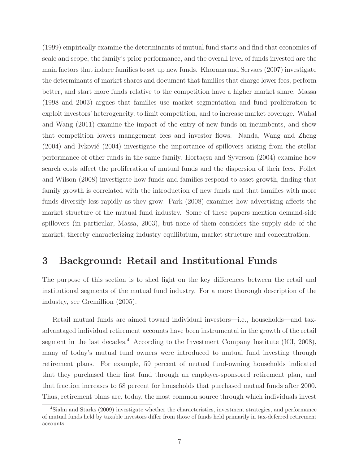(1999) empirically examine the determinants of mutual fund starts and find that economies of scale and scope, the family's prior performance, and the overall level of funds invested are the main factors that induce families to set up new funds. Khorana and Servaes (2007) investigate the determinants of market shares and document that families that charge lower fees, perform better, and start more funds relative to the competition have a higher market share. Massa (1998 and 2003) argues that families use market segmentation and fund proliferation to exploit investors' heterogeneity, to limit competition, and to increase market coverage. Wahal and Wang (2011) examine the impact of the entry of new funds on incumbents, and show that competition lowers management fees and investor flows. Nanda, Wang and Zheng  $(2004)$  and Ivković  $(2004)$  investigate the importance of spillovers arising from the stellar performance of other funds in the same family. Hortaçsu and Syverson (2004) examine how search costs affect the proliferation of mutual funds and the dispersion of their fees. Pollet and Wilson (2008) investigate how funds and families respond to asset growth, finding that family growth is correlated with the introduction of new funds and that families with more funds diversify less rapidly as they grow. Park (2008) examines how advertising affects the market structure of the mutual fund industry. Some of these papers mention demand-side spillovers (in particular, Massa, 2003), but none of them considers the supply side of the market, thereby characterizing industry equilibrium, market structure and concentration.

# 3 Background: Retail and Institutional Funds

The purpose of this section is to shed light on the key differences between the retail and institutional segments of the mutual fund industry. For a more thorough description of the industry, see Gremillion (2005).

Retail mutual funds are aimed toward individual investors—i.e., households—and taxadvantaged individual retirement accounts have been instrumental in the growth of the retail segment in the last decades.<sup>4</sup> According to the Investment Company Institute (ICI, 2008), many of today's mutual fund owners were introduced to mutual fund investing through retirement plans. For example, 59 percent of mutual fund-owning households indicated that they purchased their first fund through an employer-sponsored retirement plan, and that fraction increases to 68 percent for households that purchased mutual funds after 2000. Thus, retirement plans are, today, the most common source through which individuals invest

<sup>4</sup>Sialm and Starks (2009) investigate whether the characteristics, investment strategies, and performance of mutual funds held by taxable investors differ from those of funds held primarily in tax-deferred retirement accounts.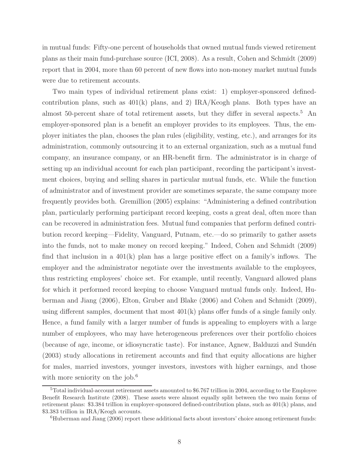in mutual funds: Fifty-one percent of households that owned mutual funds viewed retirement plans as their main fund-purchase source (ICI, 2008). As a result, Cohen and Schmidt (2009) report that in 2004, more than 60 percent of new flows into non-money market mutual funds were due to retirement accounts.

Two main types of individual retirement plans exist: 1) employer-sponsored definedcontribution plans, such as  $401(k)$  plans, and 2) IRA/Keogh plans. Both types have an almost 50-percent share of total retirement assets, but they differ in several aspects.<sup>5</sup> An employer-sponsored plan is a benefit an employer provides to its employees. Thus, the employer initiates the plan, chooses the plan rules (eligibility, vesting, etc.), and arranges for its administration, commonly outsourcing it to an external organization, such as a mutual fund company, an insurance company, or an HR-benefit firm. The administrator is in charge of setting up an individual account for each plan participant, recording the participant's investment choices, buying and selling shares in particular mutual funds, etc. While the function of administrator and of investment provider are sometimes separate, the same company more frequently provides both. Gremillion (2005) explains: "Administering a defined contribution plan, particularly performing participant record keeping, costs a great deal, often more than can be recovered in administration fees. Mutual fund companies that perform defined contribution record keeping—Fidelity, Vanguard, Putnam, etc.—do so primarily to gather assets into the funds, not to make money on record keeping." Indeed, Cohen and Schmidt (2009) find that inclusion in a 401(k) plan has a large positive effect on a family's inflows. The employer and the administrator negotiate over the investments available to the employees, thus restricting employees' choice set. For example, until recently, Vanguard allowed plans for which it performed record keeping to choose Vanguard mutual funds only. Indeed, Huberman and Jiang (2006), Elton, Gruber and Blake (2006) and Cohen and Schmidt (2009), using different samples, document that most 401(k) plans offer funds of a single family only. Hence, a fund family with a larger number of funds is appealing to employers with a large number of employees, who may have heterogeneous preferences over their portfolio choices (because of age, income, or idiosyncratic taste). For instance, Agnew, Balduzzi and Sundén (2003) study allocations in retirement accounts and find that equity allocations are higher for males, married investors, younger investors, investors with higher earnings, and those with more seniority on the job.<sup>6</sup>

<sup>&</sup>lt;sup>5</sup>Total individual-account retirement assets amounted to \$6.767 trillion in 2004, according to the Employee Benefit Research Institute (2008). These assets were almost equally split between the two main forms of retirement plans: \$3.384 trillion in employer-sponsored defined-contribution plans, such as 401(k) plans, and \$3.383 trillion in IRA/Keogh accounts.

<sup>6</sup>Huberman and Jiang (2006) report these additional facts about investors' choice among retirement funds: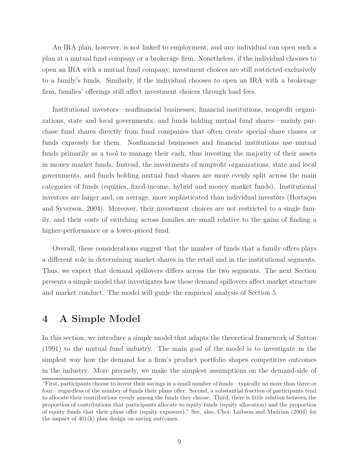An IRA plan, however, is not linked to employment, and any individual can open such a plan at a mutual fund company or a brokerage firm. Nonetheless, if the individual chooses to open an IRA with a mutual fund company, investment choices are still restricted exclusively to a family's funds. Similarly, if the individual chooses to open an IRA with a brokerage firm, families' offerings still affect investment choices through load fees.

Institutional investors—nonfinancial businesses, financial institutions, nonprofit organizations, state and local governments, and funds holding mutual fund shares—mainly purchase fund shares directly from fund companies that often create special share classes or funds expressly for them. Nonfinancial businesses and financial institutions use mutual funds primarily as a tool to manage their cash, thus investing the majority of their assets in money market funds. Instead, the investments of nonprofit organizations, state and local governments, and funds holding mutual fund shares are more evenly split across the main categories of funds (equities, fixed-income, hybrid and money market funds). Institutional investors are larger and, on average, more sophisticated than individual investors (Hortaçsu and Syverson, 2004). Moreover, their investment choices are not restricted to a single family, and their costs of switching across families are small relative to the gains of finding a higher-performance or a lower-priced fund.

Overall, these considerations suggest that the number of funds that a family offers plays a different role in determining market shares in the retail and in the institutional segments. Thus, we expect that demand spillovers differs across the two segments. The next Section presents a simple model that investigates how these demand spillovers affect market structure and market conduct. The model will guide the empirical analysis of Section 5.

# 4 A Simple Model

In this section, we introduce a simple model that adapts the theoretical framework of Sutton (1991) to the mutual fund industry. The main goal of the model is to investigate in the simplest way how the demand for a firm's product portfolio shapes competitive outcomes in the industry. More precisely, we make the simplest assumptions on the demand-side of

<sup>&</sup>quot;First, participants choose to invest their savings in a small number of funds—typically no more than three or four—regardless of the number of funds their plans offer. Second, a substantial fraction of participants tend to allocate their contributions evenly among the funds they choose. Third, there is little relation between the proportion of contributions that participants allocate to equity funds (equity allocation) and the proportion of equity funds that their plans offer (equity exposure)." See, also, Choi, Laibson and Madrian (2004) for the impact of 401(k) plan design on saving outcomes.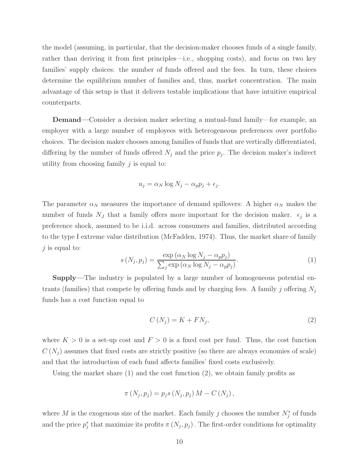the model (assuming, in particular, that the decision-maker chooses funds of a single family, rather than deriving it from first principles—i.e., shopping costs), and focus on two key families' supply choices: the number of funds offered and the fees. In turn, these choices determine the equilibrium number of families and, thus, market concentration. The main advantage of this setup is that it delivers testable implications that have intuitive empirical counterparts.

Demand—Consider a decision maker selecting a mutual-fund family—for example, an employer with a large number of employees with heterogeneous preferences over portfolio choices. The decision maker chooses among families of funds that are vertically differentiated, differing by the number of funds offered  $N_j$  and the price  $p_j$ . The decision maker's indirect utility from choosing family  $j$  is equal to:

$$
u_j = \alpha_N \log N_j - \alpha_p p_j + \epsilon_j.
$$

The parameter  $\alpha_N$  measures the importance of demand spillovers: A higher  $\alpha_N$  makes the number of funds  $N_J$  that a family offers more important for the decision maker.  $\epsilon_j$  is a preference shock, assumed to be i.i.d. across consumers and families, distributed according to the type I extreme value distribution (McFadden, 1974). Thus, the market share of family  $j$  is equal to:

$$
s(N_j, p_j) = \frac{\exp(\alpha_N \log N_j - \alpha_p p_j)}{\sum_j \exp(\alpha_N \log N_j - \alpha_p p_j)}.
$$
\n(1)

Supply—The industry is populated by a large number of homogeneous potential entrants (families) that compete by offering funds and by charging fees. A family j offering  $N_j$ funds has a cost function equal to

$$
C\left(N_{j}\right) = K + FN_{j},\tag{2}
$$

where  $K > 0$  is a set-up cost and  $F > 0$  is a fixed cost per fund. Thus, the cost function  $C(N_i)$  assumes that fixed costs are strictly positive (so there are always economies of scale) and that the introduction of each fund affects families' fixed costs exclusively.

Using the market share (1) and the cost function (2), we obtain family profits as

$$
\pi(N_j, p_j) = p_j s(N_j, p_j) M - C(N_j),
$$

where M is the exogenous size of the market. Each family j chooses the number  $N_j^*$  of funds and the price  $p_i^*$ <sup>\*</sup>, that maximize its profits  $\pi(N_j, p_j)$ . The first-order conditions for optimality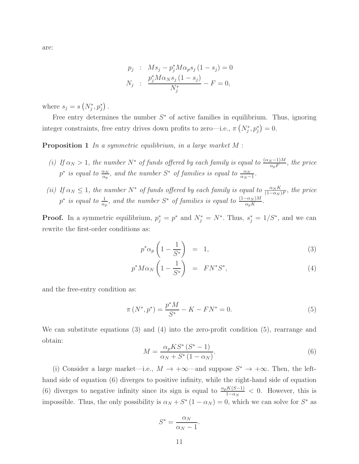$$
p_j : M s_j - p_j^* M \alpha_p s_j (1 - s_j) = 0
$$
  

$$
N_j : \frac{p_j^* M \alpha_N s_j (1 - s_j)}{N_j^*} - F = 0,
$$

where  $s_j = s\left(N_j^*, p_j^*\right)$ .

Free entry determines the number  $S^*$  of active families in equilibrium. Thus, ignoring integer constraints, free entry drives down profits to zero—i.e.,  $\pi (N_j^*, p_j^*) = 0$ .

**Proposition 1** In a symmetric equilibrium, in a large market  $M$ :

- (i) If  $\alpha_N > 1$ , the number  $N^*$  of funds offered by each family is equal to  $\frac{(\alpha_N 1)M}{\alpha_p F}$ , the price p<sup>\*</sup> is equal to  $\frac{\alpha_N}{\alpha_p}$ , and the number S<sup>\*</sup> of families is equal to  $\frac{\alpha_N}{\alpha_N-1}$ .
- (ii) If  $\alpha_N \leq 1$ , the number  $N^*$  of funds offered by each family is equal to  $\frac{\alpha_N K}{(1-\alpha_N)F}$ , the price p<sup>\*</sup> is equal to  $\frac{1}{\alpha_p}$ , and the number S<sup>\*</sup> of families is equal to  $\frac{(1-\alpha_N)M}{\alpha_pK}$ .

**Proof.** In a symmetric equilibrium,  $p_j^* = p^*$  and  $N_j^* = N^*$ . Thus,  $s_j^* = 1/S^*$ , and we can rewrite the first-order conditions as:

$$
p^*\alpha_p\left(1-\frac{1}{S^*}\right) = 1,\tag{3}
$$

$$
p^* M \alpha_N \left( 1 - \frac{1}{S^*} \right) = FN^* S^*, \tag{4}
$$

and the free-entry condition as:

$$
\pi\left(N^*, p^*\right) = \frac{p^*M}{S^*} - K - FN^* = 0.
$$
\n(5)

We can substitute equations (3) and (4) into the zero-profit condition (5), rearrange and obtain:

$$
M = \frac{\alpha_p K S^* (S^* - 1)}{\alpha_N + S^* (1 - \alpha_N)}.
$$
\n
$$
(6)
$$

(i) Consider a large market—i.e.,  $M \to +\infty$ —and suppose  $S^* \to +\infty$ . Then, the lefthand side of equation (6) diverges to positive infinity, while the right-hand side of equation (6) diverges to negative infinity since its sign is equal to  $\frac{\alpha_p K(S-1)}{1-\alpha_N} < 0$ . However, this is impossible. Thus, the only possibility is  $\alpha_N + S^* (1 - \alpha_N) = 0$ , which we can solve for  $S^*$  as

$$
S^* = \frac{\alpha_N}{\alpha_N - 1}.
$$

11

are: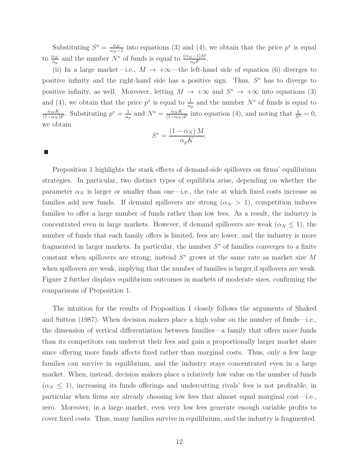Substituting  $S^* = \frac{\alpha_N}{\alpha_N - 1}$  into equations (3) and (4), we obtain that the price  $p^*$  is equal to  $\frac{\alpha_N}{\alpha_p}$  and the number  $N^*$  of funds is equal to  $\frac{(\alpha_N-1)M}{\alpha_p F}$ .

(ii) In a large market—i.e.,  $M \rightarrow +\infty$ —the left-hand side of equation (6) diverges to positive infinity and the right-hand side has a positive sign. Thus,  $S^*$  has to diverge to positive infinity, as well. Moreover, letting  $M \to +\infty$  and  $S^* \to +\infty$  into equations (3) and (4), we obtain that the price  $p^*$  is equal to  $\frac{1}{\alpha_p}$  and the number  $N^*$  of funds is equal to  $\frac{\alpha_N K}{(1-\alpha_N)F}$ . Substituting  $p^* = \frac{1}{\alpha_N}$  $\frac{1}{\alpha_p}$  and  $N^* = \frac{\alpha_N K}{(1-\alpha_N)F}$  into equation (4), and noting that  $\frac{1}{S^*} = 0$ , we obtain

$$
S^* = \frac{(1 - \alpha_N) M}{\alpha_p K}.
$$

Proposition 1 highlights the stark effects of demand-side spillovers on firms' equilibrium strategies. In particular, two distinct types of equilibria arise, depending on whether the parameter  $\alpha_N$  is larger or smaller than one—i.e., the rate at which fixed costs increase as families add new funds. If demand spillovers are strong  $(\alpha_N > 1)$ , competition induces families to offer a large number of funds rather than low fees. As a result, the industry is concentrated even in large markets. However, if demand spillovers are weak  $(\alpha_N \leq 1)$ , the number of funds that each family offers is limited, fees are lower, and the industry is more fragmented in larger markets. In particular, the number  $S^*$  of families converges to a finite constant when spillovers are strong; instead  $S^*$  grows at the same rate as market size M when spillovers are weak, implying that the number of families is larger if spillovers are weak. Figure 2 further displays equilibrium outcomes in markets of moderate sizes, confirming the comparisons of Proposition 1.

The intuition for the results of Proposition 1 closely follows the arguments of Shaked and Sutton (1987). When decision makers place a high value on the number of funds—i.e., the dimension of vertical differentiation between families—a family that offers more funds than its competitors can undercut their fees and gain a proportionally larger market share since offering more funds affects fixed rather than marginal costs. Thus, only a few large families can survive in equilibrium, and the industry stays concentrated even in a large market. When, instead, decision makers place a relatively low value on the number of funds  $(\alpha_N \leq 1)$ , increasing its funds offerings and undercutting rivals' fees is not profitable, in particular when firms are already choosing low fees that almost equal marginal cost—i.e., zero. Moreover, in a large market, even very low fees generate enough variable profits to cover fixed costs. Thus, many families survive in equilibrium, and the industry is fragmented.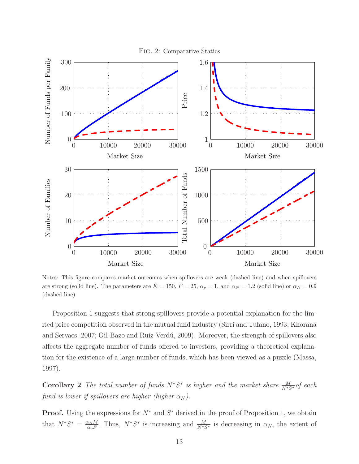

Notes: This figure compares market outcomes when spillovers are weak (dashed line) and when spillovers are strong (solid line). The parameters are  $K = 150$ ,  $F = 25$ ,  $\alpha_p = 1$ , and  $\alpha_N = 1.2$  (solid line) or  $\alpha_N = 0.9$ (dashed line).

Proposition 1 suggests that strong spillovers provide a potential explanation for the limited price competition observed in the mutual fund industry (Sirri and Tufano, 1993; Khorana and Servaes, 2007; Gil-Bazo and Ruiz-Verdú, 2009). Moreover, the strength of spillovers also affects the aggregate number of funds offered to investors, providing a theoretical explanation for the existence of a large number of funds, which has been viewed as a puzzle (Massa, 1997).

**Corollary 2** The total number of funds  $N^*S^*$  is higher and the market share  $\frac{M}{N^*S^*}$  of each fund is lower if spillovers are higher (higher  $\alpha_N$ ).

**Proof.** Using the expressions for  $N^*$  and  $S^*$  derived in the proof of Proposition 1, we obtain that  $N^*S^* = \frac{\alpha_N M}{\alpha_F F}$  $\frac{\alpha_N M}{\alpha_p F}$ . Thus,  $N^* S^*$  is increasing and  $\frac{M}{N^* S^*}$  is decreasing in  $\alpha_N$ , the extent of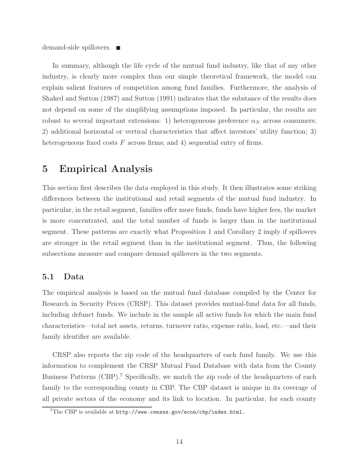demand-side spillovers. ■

In summary, although the life cycle of the mutual fund industry, like that of any other industry, is clearly more complex than our simple theoretical framework, the model can explain salient features of competition among fund families. Furthermore, the analysis of Shaked and Sutton (1987) and Sutton (1991) indicates that the substance of the results does not depend on some of the simplifying assumptions imposed. In particular, the results are robust to several important extensions: 1) heterogeneous preference  $\alpha_N$  across consumers; 2) additional horizontal or vertical characteristics that affect investors' utility function; 3) heterogeneous fixed costs  $F$  across firms; and 4) sequential entry of firms.

### 5 Empirical Analysis

This section first describes the data employed in this study. It then illustrates some striking differences between the institutional and retail segments of the mutual fund industry. In particular, in the retail segment, families offer more funds, funds have higher fees, the market is more concentrated, and the total number of funds is larger than in the institutional segment. These patterns are exactly what Proposition 1 and Corollary 2 imply if spillovers are stronger in the retail segment than in the institutional segment. Thus, the following subsections measure and compare demand spillovers in the two segments.

#### 5.1 Data

The empirical analysis is based on the mutual fund database compiled by the Center for Research in Security Prices (CRSP). This dataset provides mutual-fund data for all funds, including defunct funds. We include in the sample all active funds for which the main fund characteristics—total net assets, returns, turnover ratio, expense ratio, load, etc.—and their family identifier are available.

CRSP also reports the zip code of the headquarters of each fund family. We use this information to complement the CRSP Mutual Fund Database with data from the County Business Patterns (CBP).<sup>7</sup> Specifically, we match the zip code of the headquarters of each family to the corresponding county in CBP. The CBP dataset is unique in its coverage of all private sectors of the economy and its link to location. In particular, for each county

<sup>7</sup>The CBP is available at http://www.census.gov/econ/cbp/index.html.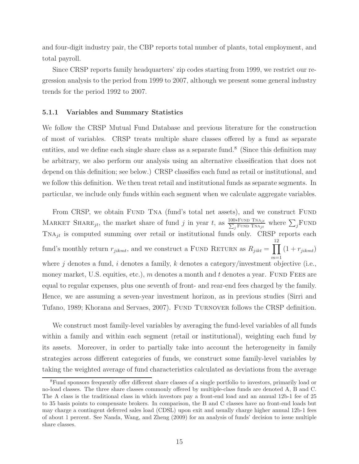and four-digit industry pair, the CBP reports total number of plants, total employment, and total payroll.

Since CRSP reports family headquarters' zip codes starting from 1999, we restrict our regression analysis to the period from 1999 to 2007, although we present some general industry trends for the period 1992 to 2007.

#### 5.1.1 Variables and Summary Statistics

We follow the CRSP Mutual Fund Database and previous literature for the construction of most of variables. CRSP treats multiple share classes offered by a fund as separate entities, and we define each single share class as a separate fund.<sup>8</sup> (Since this definition may be arbitrary, we also perform our analysis using an alternative classification that does not depend on this definition; see below.) CRSP classifies each fund as retail or institutional, and we follow this definition. We then treat retail and institutional funds as separate segments. In particular, we include only funds within each segment when we calculate aggregate variables.

From CRSP, we obtain FUND TNA (fund's total net assets), and we construct FUND MARKET SHARE<sub>jt</sub>, the market share of fund j in year t, as  $\frac{100*FUND TNA_{jt}}{\sum_j FUND TNA_{jt}}$  where  $\sum_j FUND$  $TNA_{jt}$  is computed summing over retail or institutional funds only. CRSP reports each fund's monthly return  $r_{jikmt}$ , and we construct a FUND RETURN as  $R_{jikt} = \prod$ 12  $m=1$  $(1 + r_{jikmt})$ where  $j$  denotes a fund,  $i$  denotes a family,  $k$  denotes a category/investment objective (i.e., money market, U.S. equities, etc.),  $m$  denotes a month and  $t$  denotes a year. FUND FEES are equal to regular expenses, plus one seventh of front- and rear-end fees charged by the family. Hence, we are assuming a seven-year investment horizon, as in previous studies (Sirri and Tufano, 1989; Khorana and Servaes, 2007). Fund Turnover follows the CRSP definition.

We construct most family-level variables by averaging the fund-level variables of all funds within a family and within each segment (retail or institutional), weighting each fund by its assets. Moreover, in order to partially take into account the heterogeneity in family strategies across different categories of funds, we construct some family-level variables by taking the weighted average of fund characteristics calculated as deviations from the average

<sup>&</sup>lt;sup>8</sup>Fund sponsors frequently offer different share classes of a single portfolio to investors, primarily load or no-load classes. The three share classes commonly offered by multiple-class funds are denoted A, B and C. The A class is the traditional class in which investors pay a front-end load and an annual 12b-1 fee of 25 to 35 basis points to compensate brokers. In comparison, the B and C classes have no front-end loads but may charge a contingent deferred sales load (CDSL) upon exit and usually charge higher annual 12b-1 fees of about 1 percent. See Nanda, Wang, and Zheng (2009) for an analysis of funds' decision to issue multiple share classes.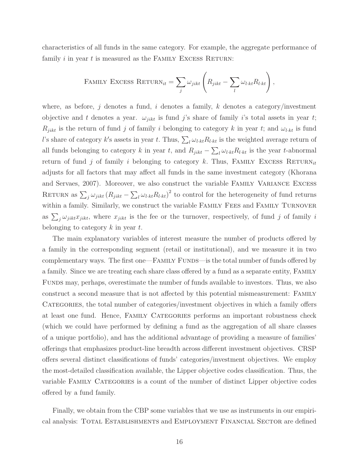characteristics of all funds in the same category. For example, the aggregate performance of family  $i$  in year  $t$  is measured as the FAMILY EXCESS RETURN:

FAMILY EXCESS RETURN<sub>it</sub> = 
$$
\sum_{j} \omega_{jikt} \left( R_{jikt} - \sum_{l} \omega_{l:kt} R_{l:kt} \right)
$$
,

where, as before, j denotes a fund, i denotes a family, k denotes a category/investment objective and t denotes a year.  $\omega_{jikt}$  is fund j's share of family i's total assets in year t;  $R_{jikt}$  is the return of fund j of family i belonging to category k in year t; and  $\omega_{l\cdot kt}$  is fund l's share of category k's assets in year t. Thus,  $\sum_l \omega_{l \cdot kt} R_{l \cdot kt}$  is the weighted average return of all funds belonging to category k in year t, and  $R_{jikt} - \sum_l \omega_{l,kt} R_{l,kt}$  is the year t-abnormal return of fund j of family i belonging to category k. Thus, FAMILY EXCESS RETURN<sub>it</sub> adjusts for all factors that may affect all funds in the same investment category (Khorana and Servaes, 2007). Moreover, we also construct the variable Family Variance Excess RETURN as  $\sum_j \omega_{jikt} (R_{jikt} - \sum_l \omega_{lkt} R_{lkt})^2$  to control for the heterogeneity of fund returns within a family. Similarly, we construct the variable Family Fees and Family Turnover as  $\sum_j \omega_{jikt}x_{jikt}$ , where  $x_{jikt}$  is the fee or the turnover, respectively, of fund j of family i belonging to category  $k$  in year  $t$ .

The main explanatory variables of interest measure the number of products offered by a family in the corresponding segment (retail or institutional), and we measure it in two complementary ways. The first one—FAMILY FUNDS—is the total number of funds offered by a family. Since we are treating each share class offered by a fund as a separate entity, Family Funds may, perhaps, overestimate the number of funds available to investors. Thus, we also construct a second measure that is not affected by this potential mismeasurement: Family CATEGORIES, the total number of categories/investment objectives in which a family offers at least one fund. Hence, Family Categories performs an important robustness check (which we could have performed by defining a fund as the aggregation of all share classes of a unique portfolio), and has the additional advantage of providing a measure of families' offerings that emphasizes product-line breadth across different investment objectives. CRSP offers several distinct classifications of funds' categories/investment objectives. We employ the most-detailed classification available, the Lipper objective codes classification. Thus, the variable Family Categories is a count of the number of distinct Lipper objective codes offered by a fund family.

Finally, we obtain from the CBP some variables that we use as instruments in our empirical analysis: Total Establishments and Employment Financial Sector are defined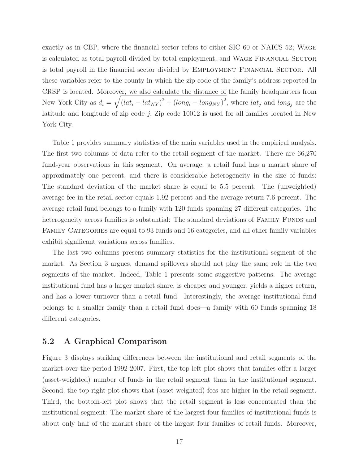exactly as in CBP, where the financial sector refers to either SIC 60 or NAICS 52; Wage is calculated as total payroll divided by total employment, and Wage Financial Sector is total payroll in the financial sector divided by Employment Financial Sector. All these variables refer to the county in which the zip code of the family's address reported in CRSP is located. Moreover, we also calculate the distance of the family headquarters from New York City as  $d_i = \sqrt{(lat_i - lat_{NY})^2 + (long_i - long_{NY})^2}$ , where  $lat_j$  and  $long_j$  are the latitude and longitude of zip code j. Zip code 10012 is used for all families located in New York City.

Table 1 provides summary statistics of the main variables used in the empirical analysis. The first two columns of data refer to the retail segment of the market. There are 66,270 fund-year observations in this segment. On average, a retail fund has a market share of approximately one percent, and there is considerable heterogeneity in the size of funds: The standard deviation of the market share is equal to 5.5 percent. The (unweighted) average fee in the retail sector equals 1.92 percent and the average return 7.6 percent. The average retail fund belongs to a family with 120 funds spanning 27 different categories. The heterogeneity across families is substantial: The standard deviations of FAMILY FUNDS and Family Categories are equal to 93 funds and 16 categories, and all other family variables exhibit significant variations across families.

The last two columns present summary statistics for the institutional segment of the market. As Section 3 argues, demand spillovers should not play the same role in the two segments of the market. Indeed, Table 1 presents some suggestive patterns. The average institutional fund has a larger market share, is cheaper and younger, yields a higher return, and has a lower turnover than a retail fund. Interestingly, the average institutional fund belongs to a smaller family than a retail fund does—a family with 60 funds spanning 18 different categories.

#### 5.2 A Graphical Comparison

Figure 3 displays striking differences between the institutional and retail segments of the market over the period 1992-2007. First, the top-left plot shows that families offer a larger (asset-weighted) number of funds in the retail segment than in the institutional segment. Second, the top-right plot shows that (asset-weighted) fees are higher in the retail segment. Third, the bottom-left plot shows that the retail segment is less concentrated than the institutional segment: The market share of the largest four families of institutional funds is about only half of the market share of the largest four families of retail funds. Moreover,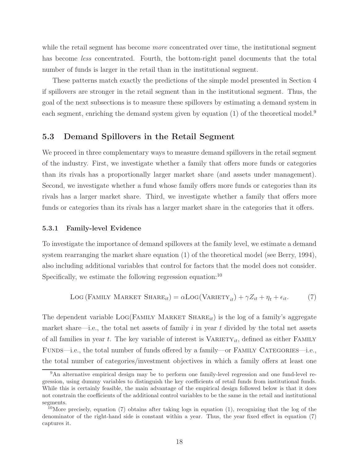while the retail segment has become *more* concentrated over time, the institutional segment has become *less* concentrated. Fourth, the bottom-right panel documents that the total number of funds is larger in the retail than in the institutional segment.

These patterns match exactly the predictions of the simple model presented in Section 4 if spillovers are stronger in the retail segment than in the institutional segment. Thus, the goal of the next subsections is to measure these spillovers by estimating a demand system in each segment, enriching the demand system given by equation  $(1)$  of the theoretical model.<sup>9</sup>

#### 5.3 Demand Spillovers in the Retail Segment

We proceed in three complementary ways to measure demand spillovers in the retail segment of the industry. First, we investigate whether a family that offers more funds or categories than its rivals has a proportionally larger market share (and assets under management). Second, we investigate whether a fund whose family offers more funds or categories than its rivals has a larger market share. Third, we investigate whether a family that offers more funds or categories than its rivals has a larger market share in the categories that it offers.

#### 5.3.1 Family-level Evidence

To investigate the importance of demand spillovers at the family level, we estimate a demand system rearranging the market share equation (1) of the theoretical model (see Berry, 1994), also including additional variables that control for factors that the model does not consider. Specifically, we estimate the following regression equation: $10$ 

$$
LOG (FAMILY MARKET SHAREit) = \alpha LOG(VARIETYit) + \gamma Zit + \etat + \epsilonit.
$$
 (7)

The dependent variable  $LOG(FAMLY MARKET SHARE<sub>it</sub>)$  is the log of a family's aggregate market share—i.e., the total net assets of family  $i$  in year  $t$  divided by the total net assets of all families in year t. The key variable of interest is  $VARIETY_{it}$ , defined as either FAMILY FUNDS—i.e., the total number of funds offered by a family—or FAMILY CATEGORIES—i.e., the total number of categories/investment objectives in which a family offers at least one

<sup>&</sup>lt;sup>9</sup>An alternative empirical design may be to perform one family-level regression and one fund-level regression, using dummy variables to distinguish the key coefficients of retail funds from institutional funds. While this is certainly feasible, the main advantage of the empirical design followed below is that it does not constrain the coefficients of the additional control variables to be the same in the retail and institutional segments.

<sup>&</sup>lt;sup>10</sup>More precisely, equation (7) obtains after taking logs in equation (1), recognizing that the log of the denominator of the right-hand side is constant within a year. Thus, the year fixed effect in equation (7) captures it.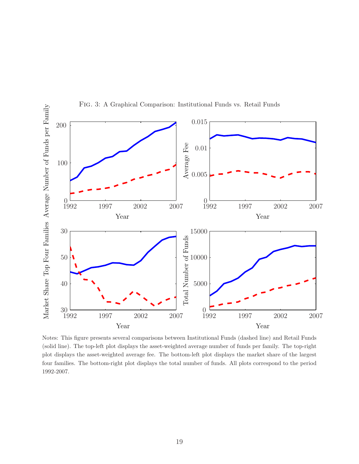

Fig. 3: A Graphical Comparison: Institutional Funds vs. Retail Funds

Notes: This figure presents several comparisons between Institutional Funds (dashed line) and Retail Funds (solid line). The top-left plot displays the asset-weighted average number of funds per family. The top-right plot displays the asset-weighted average fee. The bottom-left plot displays the market share of the largest four families. The bottom-right plot displays the total number of funds. All plots correspond to the period 1992-2007.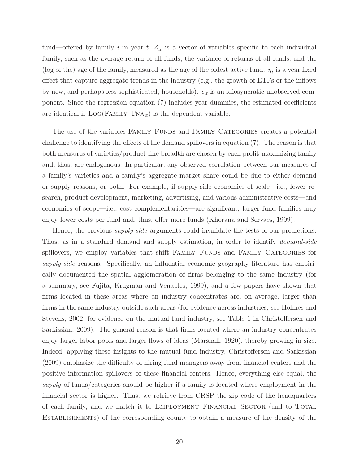fund—offered by family i in year t.  $Z_{it}$  is a vector of variables specific to each individual family, such as the average return of all funds, the variance of returns of all funds, and the (log of the) age of the family, measured as the age of the oldest active fund.  $\eta_t$  is a year fixed effect that capture aggregate trends in the industry (e.g., the growth of ETFs or the inflows by new, and perhaps less sophisticated, households).  $\epsilon_{it}$  is an idiosyncratic unobserved component. Since the regression equation (7) includes year dummies, the estimated coefficients are identical if  $LOG(FAMLY, TNA_{it})$  is the dependent variable.

The use of the variables FAMILY FUNDS and FAMILY CATEGORIES creates a potential challenge to identifying the effects of the demand spillovers in equation (7). The reason is that both measures of varieties/product-line breadth are chosen by each profit-maximizing family and, thus, are endogenous. In particular, any observed correlation between our measures of a family's varieties and a family's aggregate market share could be due to either demand or supply reasons, or both. For example, if supply-side economies of scale—i.e., lower research, product development, marketing, advertising, and various administrative costs—and economies of scope—i.e., cost complementarities—are significant, larger fund families may enjoy lower costs per fund and, thus, offer more funds (Khorana and Servaes, 1999).

Hence, the previous *supply-side* arguments could invalidate the tests of our predictions. Thus, as in a standard demand and supply estimation, in order to identify *demand-side* spillovers, we employ variables that shift FAMILY FUNDS and FAMILY CATEGORIES for supply-side reasons. Specifically, an influential economic geography literature has empirically documented the spatial agglomeration of firms belonging to the same industry (for a summary, see Fujita, Krugman and Venables, 1999), and a few papers have shown that firms located in these areas where an industry concentrates are, on average, larger than firms in the same industry outside such areas (for evidence across industries, see Holmes and Stevens, 2002; for evidence on the mutual fund industry, see Table 1 in Christoffersen and Sarkissian, 2009). The general reason is that firms located where an industry concentrates enjoy larger labor pools and larger flows of ideas (Marshall, 1920), thereby growing in size. Indeed, applying these insights to the mutual fund industry, Christoffersen and Sarkissian (2009) emphasize the difficulty of hiring fund managers away from financial centers and the positive information spillovers of these financial centers. Hence, everything else equal, the supply of funds/categories should be higher if a family is located where employment in the financial sector is higher. Thus, we retrieve from CRSP the zip code of the headquarters of each family, and we match it to Employment Financial Sector (and to Total Establishments) of the corresponding county to obtain a measure of the density of the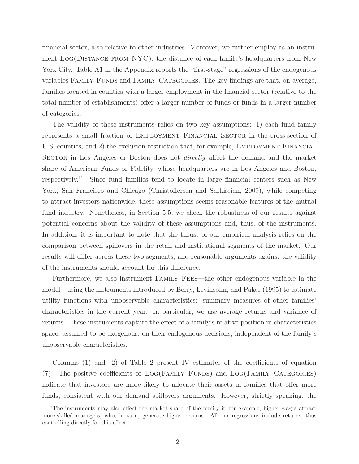financial sector, also relative to other industries. Moreover, we further employ as an instrument Log(Distance from NYC), the distance of each family's headquarters from New York City. Table A1 in the Appendix reports the "first-stage" regressions of the endogenous variables FAMILY FUNDS and FAMILY CATEGORIES. The key findings are that, on average, families located in counties with a larger employment in the financial sector (relative to the total number of establishments) offer a larger number of funds or funds in a larger number of categories.

The validity of these instruments relies on two key assumptions: 1) each fund family represents a small fraction of Employment Financial Sector in the cross-section of U.S. counties; and 2) the exclusion restriction that, for example, EMPLOYMENT FINANCIAL SECTOR in Los Angeles or Boston does not *directly* affect the demand and the market share of American Funds or Fidelity, whose headquarters are in Los Angeles and Boston, respectively.<sup>11</sup> Since fund families tend to locate in large financial centers such as New York, San Francisco and Chicago (Christoffersen and Sarkissian, 2009), while competing to attract investors nationwide, these assumptions seems reasonable features of the mutual fund industry. Nonetheless, in Section 5.5, we check the robustness of our results against potential concerns about the validity of these assumptions and, thus, of the instruments. In addition, it is important to note that the thrust of our empirical analysis relies on the comparison between spillovers in the retail and institutional segments of the market. Our results will differ across these two segments, and reasonable arguments against the validity of the instruments should account for this difference.

Furthermore, we also instrument Family Fees—the other endogenous variable in the model—using the instruments introduced by Berry, Levinsohn, and Pakes (1995) to estimate utility functions with unobservable characteristics: summary measures of other families' characteristics in the current year. In particular, we use average returns and variance of returns. These instruments capture the effect of a family's relative position in characteristics space, assumed to be exogenous, on their endogenous decisions, independent of the family's unobservable characteristics.

Columns (1) and (2) of Table 2 present IV estimates of the coefficients of equation (7). The positive coefficients of LOG(FAMILY FUNDS) and LOG(FAMILY CATEGORIES) indicate that investors are more likely to allocate their assets in families that offer more funds, consistent with our demand spillovers arguments. However, strictly speaking, the

<sup>&</sup>lt;sup>11</sup>The instruments may also affect the market share of the family if, for example, higher wages attract more-skilled managers, who, in turn, generate higher returns. All our regressions include returns, thus controlling directly for this effect.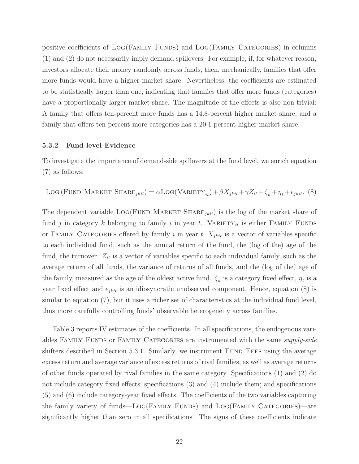positive coefficients of Log(Family Funds) and Log(Family Categories) in columns (1) and (2) do not necessarily imply demand spillovers. For example, if, for whatever reason, investors allocate their money randomly across funds, then, mechanically, families that offer more funds would have a higher market share. Nevertheless, the coefficients are estimated to be statistically larger than one, indicating that families that offer more funds (categories) have a proportionally larger market share. The magnitude of the effects is also non-trivial: A family that offers ten-percent more funds has a 14.8-percent higher market share, and a family that offers ten-percent more categories has a 20.1-percent higher market share.

#### 5.3.2 Fund-level Evidence

To investigate the importance of demand-side spillovers at the fund level, we enrich equation (7) as follows:

$$
LOG (FUND MARKET SHAREjkit) = \alpha LOG(VARIETYit) + \beta Xjkit + \gamma Zit + \zetak + \etat + \epsilonjkit.
$$
 (8)

The dependent variable  $Log(FUND MARKET SHARE<sub>jkit</sub>)$  is the log of the market share of fund j in category k belonging to family i in year t. VARIETY<sub>it</sub> is either FAMILY FUNDS or FAMILY CATEGORIES offered by family i in year t.  $X_{jkit}$  is a vector of variables specific to each individual fund, such as the annual return of the fund, the (log of the) age of the fund, the turnover.  $Z_{it}$  is a vector of variables specific to each individual family, such as the average return of all funds, the variance of returns of all funds, and the (log of the) age of the family, measured as the age of the oldest active fund.  $\zeta_k$  is a category fixed effect,  $\eta_t$  is a year fixed effect and  $\epsilon_{jkit}$  is an idiosyncratic unobserved component. Hence, equation (8) is similar to equation (7), but it uses a richer set of characteristics at the individual fund level, thus more carefully controlling funds' observable heterogeneity across families.

Table 3 reports IV estimates of the coefficients. In all specifications, the endogenous variables FAMILY FUNDS or FAMILY CATEGORIES are instrumented with the same *supply-side* shifters described in Section 5.3.1. Similarly, we instrument FUND FEES using the average excess return and average variance of excess returns of rival families, as well as average returns of other funds operated by rival families in the same category. Specifications (1) and (2) do not include category fixed effects; specifications (3) and (4) include them; and specifications (5) and (6) include category-year fixed effects. The coefficients of the two variables capturing the family variety of funds—LOG(FAMILY FUNDS) and LOG(FAMILY CATEGORIES)—are significantly higher than zero in all specifications. The signs of these coefficients indicate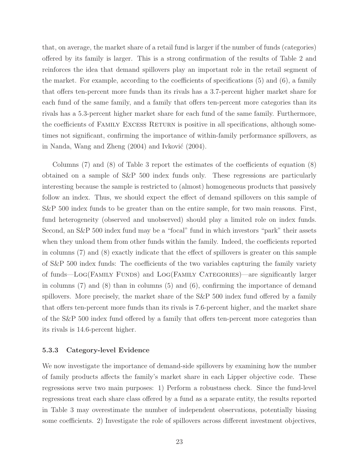that, on average, the market share of a retail fund is larger if the number of funds (categories) offered by its family is larger. This is a strong confirmation of the results of Table 2 and reinforces the idea that demand spillovers play an important role in the retail segment of the market. For example, according to the coefficients of specifications (5) and (6), a family that offers ten-percent more funds than its rivals has a 3.7-percent higher market share for each fund of the same family, and a family that offers ten-percent more categories than its rivals has a 5.3-percent higher market share for each fund of the same family. Furthermore, the coefficients of FAMILY EXCESS RETURN is positive in all specifications, although sometimes not significant, confirming the importance of within-family performance spillovers, as in Nanda, Wang and Zheng  $(2004)$  and Ivković  $(2004)$ .

Columns (7) and (8) of Table 3 report the estimates of the coefficients of equation (8) obtained on a sample of S&P 500 index funds only. These regressions are particularly interesting because the sample is restricted to (almost) homogeneous products that passively follow an index. Thus, we should expect the effect of demand spillovers on this sample of S&P 500 index funds to be greater than on the entire sample, for two main reasons. First, fund heterogeneity (observed and unobserved) should play a limited role on index funds. Second, an S&P 500 index fund may be a "focal" fund in which investors "park" their assets when they unload them from other funds within the family. Indeed, the coefficients reported in columns (7) and (8) exactly indicate that the effect of spillovers is greater on this sample of S&P 500 index funds: The coefficients of the two variables capturing the family variety of funds—Log(Family Funds) and Log(Family Categories)—are significantly larger in columns (7) and (8) than in columns (5) and (6), confirming the importance of demand spillovers. More precisely, the market share of the S&P 500 index fund offered by a family that offers ten-percent more funds than its rivals is 7.6-percent higher, and the market share of the S&P 500 index fund offered by a family that offers ten-percent more categories than its rivals is 14.6-percent higher.

#### 5.3.3 Category-level Evidence

We now investigate the importance of demand-side spillovers by examining how the number of family products affects the family's market share in each Lipper objective code. These regressions serve two main purposes: 1) Perform a robustness check. Since the fund-level regressions treat each share class offered by a fund as a separate entity, the results reported in Table 3 may overestimate the number of independent observations, potentially biasing some coefficients. 2) Investigate the role of spillovers across different investment objectives,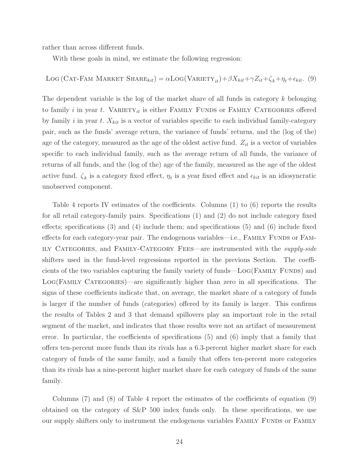rather than across different funds.

With these goals in mind, we estimate the following regression:

# LOG (CAT-FAM MARKET SHARE<sub>kit</sub>) =  $\alpha$ LOG (VARIETY<sub>it</sub>) +  $\beta X_{kit} + \gamma Z_{it} + \zeta_k + \eta_t + \epsilon_{kit}$ . (9)

The dependent variable is the log of the market share of all funds in category k belonging to family i in year t. VARIETY<sub>it</sub> is either FAMILY FUNDS or FAMILY CATEGORIES offered by family i in year t.  $X_{kit}$  is a vector of variables specific to each individual family-category pair, such as the funds' average return, the variance of funds' returns, and the (log of the) age of the category, measured as the age of the oldest active fund.  $Z_{it}$  is a vector of variables specific to each individual family, such as the average return of all funds, the variance of returns of all funds, and the (log of the) age of the family, measured as the age of the oldest active fund.  $\zeta_k$  is a category fixed effect,  $\eta_t$  is a year fixed effect and  $\epsilon_{kit}$  is an idiosyncratic unobserved component.

Table 4 reports IV estimates of the coefficients. Columns (1) to (6) reports the results for all retail category-family pairs. Specifications (1) and (2) do not include category fixed effects; specifications  $(3)$  and  $(4)$  include them; and specifications  $(5)$  and  $(6)$  include fixed effects for each category-year pair. The endogenous variables—i.e., FAMILY FUNDS or FAM-ILY CATEGORIES, and FAMILY-CATEGORY FEES—are instrumented with the *supply-side* shifters used in the fund-level regressions reported in the previous Section. The coefficients of the two variables capturing the family variety of funds—Log(Family Funds) and Log(Family Categories)—are significantly higher than zero in all specifications. The signs of these coefficients indicate that, on average, the market share of a category of funds is larger if the number of funds (categories) offered by its family is larger. This confirms the results of Tables 2 and 3 that demand spillovers play an important role in the retail segment of the market, and indicates that those results were not an artifact of measurement error. In particular, the coefficients of specifications (5) and (6) imply that a family that offers ten-percent more funds than its rivals has a 6.3-percent higher market share for each category of funds of the same family, and a family that offers ten-percent more categories than its rivals has a nine-percent higher market share for each category of funds of the same family.

Columns (7) and (8) of Table 4 report the estimates of the coefficients of equation (9) obtained on the category of S&P 500 index funds only. In these specifications, we use our supply shifters only to instrument the endogenous variables Family Funds or Family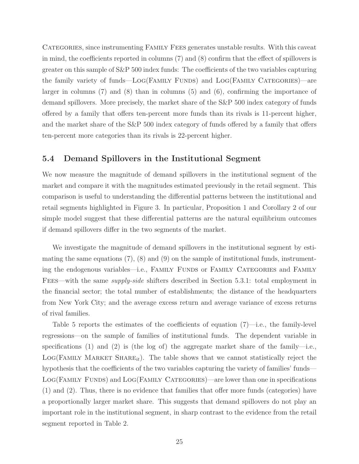CATEGORIES, since instrumenting FAMILY FEES generates unstable results. With this caveat in mind, the coefficients reported in columns (7) and (8) confirm that the effect of spillovers is greater on this sample of  $S\&P$  500 index funds: The coefficients of the two variables capturing the family variety of funds—LOG(FAMILY FUNDS) and LOG(FAMILY CATEGORIES)—are larger in columns  $(7)$  and  $(8)$  than in columns  $(5)$  and  $(6)$ , confirming the importance of demand spillovers. More precisely, the market share of the S&P 500 index category of funds offered by a family that offers ten-percent more funds than its rivals is 11-percent higher, and the market share of the S&P 500 index category of funds offered by a family that offers ten-percent more categories than its rivals is 22-percent higher.

#### 5.4 Demand Spillovers in the Institutional Segment

We now measure the magnitude of demand spillovers in the institutional segment of the market and compare it with the magnitudes estimated previously in the retail segment. This comparison is useful to understanding the differential patterns between the institutional and retail segments highlighted in Figure 3. In particular, Proposition 1 and Corollary 2 of our simple model suggest that these differential patterns are the natural equilibrium outcomes if demand spillovers differ in the two segments of the market.

We investigate the magnitude of demand spillovers in the institutional segment by estimating the same equations  $(7)$ ,  $(8)$  and  $(9)$  on the sample of institutional funds, instrumenting the endogenous variables—i.e., Family Funds or Family Categories and Family FEES—with the same *supply-side* shifters described in Section 5.3.1: total employment in the financial sector; the total number of establishments; the distance of the headquarters from New York City; and the average excess return and average variance of excess returns of rival families.

Table 5 reports the estimates of the coefficients of equation  $(7)$ —i.e., the family-level regressions—on the sample of families of institutional funds. The dependent variable in specifications (1) and (2) is (the log of) the aggregate market share of the family-i.e.,  $LOG(FAMILY MARKET SHARE<sub>it</sub>)$ . The table shows that we cannot statistically reject the hypothesis that the coefficients of the two variables capturing the variety of families' funds— LOG(FAMILY FUNDS) and LOG(FAMILY CATEGORIES)—are lower than one in specifications (1) and (2). Thus, there is no evidence that families that offer more funds (categories) have a proportionally larger market share. This suggests that demand spillovers do not play an important role in the institutional segment, in sharp contrast to the evidence from the retail segment reported in Table 2.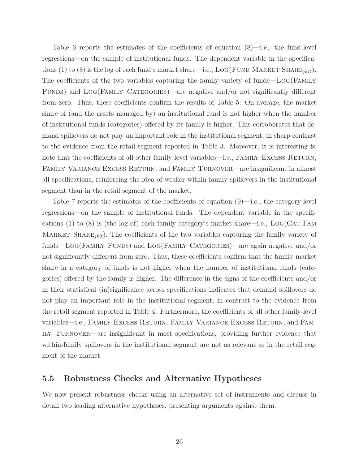Table 6 reports the estimates of the coefficients of equation (8)—i.e., the fund-level regressions—on the sample of institutional funds. The dependent variable in the specifications (1) to (8) is the log of each fund's market share—i.e.,  $LOG(FUND MARKET SHARE<sub>ikit</sub>)$ . The coefficients of the two variables capturing the family variety of funds—Log(Family Funds) and Log(Family Categories)—are negative and/or not significantly different from zero. Thus, these coefficients confirm the results of Table 5: On average, the market share of (and the assets managed by) an institutional fund is not higher when the number of institutional funds (categories) offered by its family is higher. This corroborates that demand spillovers do not play an important role in the institutional segment, in sharp contrast to the evidence from the retail segment reported in Table 3. Moreover, it is interesting to note that the coefficients of all other family-level variables—i.e., FAMILY EXCESS RETURN, FAMILY VARIANCE EXCESS RETURN, and FAMILY TURNOVER—are insignificant in almost all specifications, reinforcing the idea of weaker within-family spillovers in the institutional segment than in the retail segment of the market.

Table 7 reports the estimates of the coefficients of equation (9)—i.e., the category-level regressions—on the sample of institutional funds. The dependent variable in the specifications (1) to (8) is (the log of) each family category's market share—i.e.,  $LOG(CAT-FAM)$ MARKET SHARE<sub>*ikit*</sub>). The coefficients of the two variables capturing the family variety of funds—Log(FAMILY FUNDS) and LOG(FAMILY CATEGORIES)—are again negative and/or not significantly different from zero. Thus, these coefficients confirm that the family market share in a category of funds is not higher when the number of institutional funds (categories) offered by the family is higher. The difference in the signs of the coefficients and/or in their statistical (in)significance across specifications indicates that demand spillovers do not play an important role in the institutional segment, in contrast to the evidence from the retail segment reported in Table 4. Furthermore, the coefficients of all other family-level variables—i.e., FAMILY EXCESS RETURN, FAMILY VARIANCE EXCESS RETURN, and FAMily Turnover—are insignificant in most specifications, providing further evidence that within-family spillovers in the institutional segment are not as relevant as in the retail segment of the market.

#### 5.5 Robustness Checks and Alternative Hypotheses

We now present robustness checks using an alternative set of instruments and discuss in detail two leading alternative hypotheses, presenting arguments against them.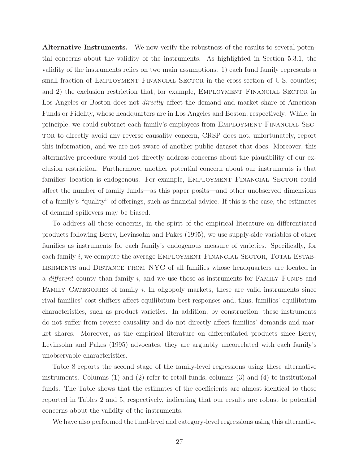Alternative Instruments. We now verify the robustness of the results to several potential concerns about the validity of the instruments. As highlighted in Section 5.3.1, the validity of the instruments relies on two main assumptions: 1) each fund family represents a small fraction of EMPLOYMENT FINANCIAL SECTOR in the cross-section of U.S. counties; and 2) the exclusion restriction that, for example, EMPLOYMENT FINANCIAL SECTOR in Los Angeles or Boston does not *directly* affect the demand and market share of American Funds or Fidelity, whose headquarters are in Los Angeles and Boston, respectively. While, in principle, we could subtract each family's employees from Employment Financial Sector to directly avoid any reverse causality concern, CRSP does not, unfortunately, report this information, and we are not aware of another public dataset that does. Moreover, this alternative procedure would not directly address concerns about the plausibility of our exclusion restriction. Furthermore, another potential concern about our instruments is that families' location is endogenous. For example, EMPLOYMENT FINANCIAL SECTOR could affect the number of family funds—as this paper posits—and other unobserved dimensions of a family's "quality" of offerings, such as financial advice. If this is the case, the estimates of demand spillovers may be biased.

To address all these concerns, in the spirit of the empirical literature on differentiated products following Berry, Levinsohn and Pakes (1995), we use supply-side variables of other families as instruments for each family's endogenous measure of varieties. Specifically, for each family  $i$ , we compute the average EMPLOYMENT FINANCIAL SECTOR, TOTAL ESTABlishments and Distance from NYC of all families whose headquarters are located in a different county than family  $i$ , and we use those as instruments for FAMILY FUNDS and FAMILY CATEGORIES of family  $i$ . In oligopoly markets, these are valid instruments since rival families' cost shifters affect equilibrium best-responses and, thus, families' equilibrium characteristics, such as product varieties. In addition, by construction, these instruments do not suffer from reverse causality and do not directly affect families' demands and market shares. Moreover, as the empirical literature on differentiated products since Berry, Levinsohn and Pakes (1995) advocates, they are arguably uncorrelated with each family's unobservable characteristics.

Table 8 reports the second stage of the family-level regressions using these alternative instruments. Columns  $(1)$  and  $(2)$  refer to retail funds, columns  $(3)$  and  $(4)$  to institutional funds. The Table shows that the estimates of the coefficients are almost identical to those reported in Tables 2 and 5, respectively, indicating that our results are robust to potential concerns about the validity of the instruments.

We have also performed the fund-level and category-level regressions using this alternative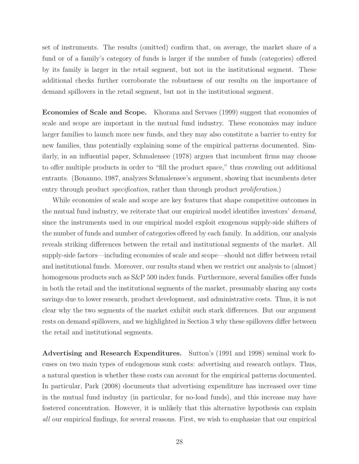set of instruments. The results (omitted) confirm that, on average, the market share of a fund or of a family's category of funds is larger if the number of funds (categories) offered by its family is larger in the retail segment, but not in the institutional segment. These additional checks further corroborate the robustness of our results on the importance of demand spillovers in the retail segment, but not in the institutional segment.

Economies of Scale and Scope. Khorana and Servaes (1999) suggest that economies of scale and scope are important in the mutual fund industry. These economies may induce larger families to launch more new funds, and they may also constitute a barrier to entry for new families, thus potentially explaining some of the empirical patterns documented. Similarly, in an influential paper, Schmalensee (1978) argues that incumbent firms may choose to offer multiple products in order to "fill the product space," thus crowding out additional entrants. (Bonanno, 1987, analyzes Schmalensee's argument, showing that incumbents deter entry through product *specification*, rather than through product *proliferation*.)

While economies of scale and scope are key features that shape competitive outcomes in the mutual fund industry, we reiterate that our empirical model identifies investors' demand, since the instruments used in our empirical model exploit exogenous supply-side shifters of the number of funds and number of categories offered by each family. In addition, our analysis reveals striking differences between the retail and institutional segments of the market. All supply-side factors—including economies of scale and scope—should not differ between retail and institutional funds. Moreover, our results stand when we restrict our analysis to (almost) homogenous products such as  $S\&P 500$  index funds. Furthermore, several families offer funds in both the retail and the institutional segments of the market, presumably sharing any costs savings due to lower research, product development, and administrative costs. Thus, it is not clear why the two segments of the market exhibit such stark differences. But our argument rests on demand spillovers, and we highlighted in Section 3 why these spillovers differ between the retail and institutional segments.

Advertising and Research Expenditures. Sutton's (1991 and 1998) seminal work focuses on two main types of endogenous sunk costs: advertising and research outlays. Thus, a natural question is whether these costs can account for the empirical patterns documented. In particular, Park (2008) documents that advertising expenditure has increased over time in the mutual fund industry (in particular, for no-load funds), and this increase may have fostered concentration. However, it is unlikely that this alternative hypothesis can explain all our empirical findings, for several reasons. First, we wish to emphasize that our empirical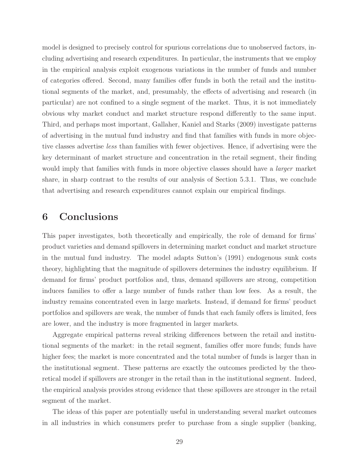model is designed to precisely control for spurious correlations due to unobserved factors, including advertising and research expenditures. In particular, the instruments that we employ in the empirical analysis exploit exogenous variations in the number of funds and number of categories offered. Second, many families offer funds in both the retail and the institutional segments of the market, and, presumably, the effects of advertising and research (in particular) are not confined to a single segment of the market. Thus, it is not immediately obvious why market conduct and market structure respond differently to the same input. Third, and perhaps most important, Gallaher, Kaniel and Starks (2009) investigate patterns of advertising in the mutual fund industry and find that families with funds in more objective classes advertise less than families with fewer objectives. Hence, if advertising were the key determinant of market structure and concentration in the retail segment, their finding would imply that families with funds in more objective classes should have a *larger* market share, in sharp contrast to the results of our analysis of Section 5.3.1. Thus, we conclude that advertising and research expenditures cannot explain our empirical findings.

# 6 Conclusions

This paper investigates, both theoretically and empirically, the role of demand for firms' product varieties and demand spillovers in determining market conduct and market structure in the mutual fund industry. The model adapts Sutton's (1991) endogenous sunk costs theory, highlighting that the magnitude of spillovers determines the industry equilibrium. If demand for firms' product portfolios and, thus, demand spillovers are strong, competition induces families to offer a large number of funds rather than low fees. As a result, the industry remains concentrated even in large markets. Instead, if demand for firms' product portfolios and spillovers are weak, the number of funds that each family offers is limited, fees are lower, and the industry is more fragmented in larger markets.

Aggregate empirical patterns reveal striking differences between the retail and institutional segments of the market: in the retail segment, families offer more funds; funds have higher fees; the market is more concentrated and the total number of funds is larger than in the institutional segment. These patterns are exactly the outcomes predicted by the theoretical model if spillovers are stronger in the retail than in the institutional segment. Indeed, the empirical analysis provides strong evidence that these spillovers are stronger in the retail segment of the market.

The ideas of this paper are potentially useful in understanding several market outcomes in all industries in which consumers prefer to purchase from a single supplier (banking,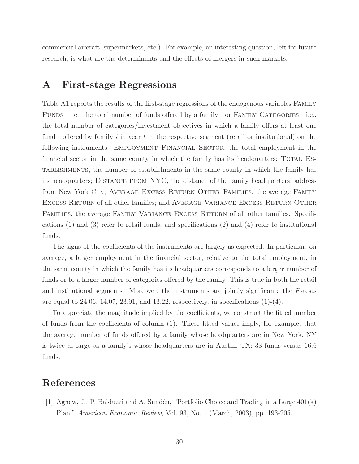commercial aircraft, supermarkets, etc.). For example, an interesting question, left for future research, is what are the determinants and the effects of mergers in such markets.

# A First-stage Regressions

Table A1 reports the results of the first-stage regressions of the endogenous variables Family FUNDS—i.e., the total number of funds offered by a family—or FAMILY CATEGORIES—i.e., the total number of categories/investment objectives in which a family offers at least one fund—offered by family i in year t in the respective segment (retail or institutional) on the following instruments: EMPLOYMENT FINANCIAL SECTOR, the total employment in the financial sector in the same county in which the family has its headquarters; TOTAL Establishments, the number of establishments in the same county in which the family has its headquarters; Distance from NYC, the distance of the family headquarters' address from New York City; AVERAGE EXCESS RETURN OTHER FAMILIES, the average FAMILY Excess Return of all other families; and Average Variance Excess Return Other FAMILIES, the average FAMILY VARIANCE EXCESS RETURN of all other families. Specifications (1) and (3) refer to retail funds, and specifications (2) and (4) refer to institutional funds.

The signs of the coefficients of the instruments are largely as expected. In particular, on average, a larger employment in the financial sector, relative to the total employment, in the same county in which the family has its headquarters corresponds to a larger number of funds or to a larger number of categories offered by the family. This is true in both the retail and institutional segments. Moreover, the instruments are jointly significant: the F-tests are equal to 24.06, 14.07, 23.91, and 13.22, respectively, in specifications  $(1)-(4)$ .

To appreciate the magnitude implied by the coefficients, we construct the fitted number of funds from the coefficients of column (1). These fitted values imply, for example, that the average number of funds offered by a family whose headquarters are in New York, NY is twice as large as a family's whose headquarters are in Austin, TX: 33 funds versus 16.6 funds.

# References

[1] Agnew, J., P. Balduzzi and A. Sundén, "Portfolio Choice and Trading in a Large  $401(k)$ Plan," American Economic Review, Vol. 93, No. 1 (March, 2003), pp. 193-205.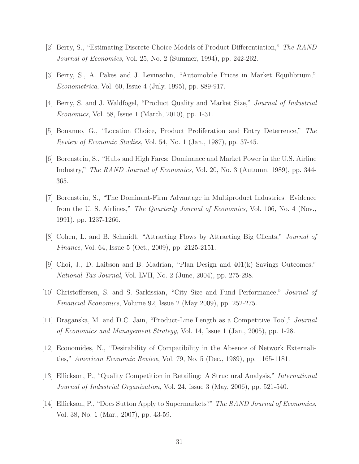- [2] Berry, S., "Estimating Discrete-Choice Models of Product Differentiation," The RAND Journal of Economics, Vol. 25, No. 2 (Summer, 1994), pp. 242-262.
- [3] Berry, S., A. Pakes and J. Levinsohn, "Automobile Prices in Market Equilibrium," Econometrica, Vol. 60, Issue 4 (July, 1995), pp. 889-917.
- [4] Berry, S. and J. Waldfogel, "Product Quality and Market Size," Journal of Industrial Economics, Vol. 58, Issue 1 (March, 2010), pp. 1-31.
- [5] Bonanno, G., "Location Choice, Product Proliferation and Entry Deterrence," The Review of Economic Studies, Vol. 54, No. 1 (Jan., 1987), pp. 37-45.
- [6] Borenstein, S., "Hubs and High Fares: Dominance and Market Power in the U.S. Airline Industry," *The RAND Journal of Economics*, Vol. 20, No. 3 (Autumn, 1989), pp. 344-365.
- [7] Borenstein, S., "The Dominant-Firm Advantage in Multiproduct Industries: Evidence from the U. S. Airlines," The Quarterly Journal of Economics, Vol. 106, No. 4 (Nov., 1991), pp. 1237-1266.
- [8] Cohen, L. and B. Schmidt, "Attracting Flows by Attracting Big Clients," Journal of Finance, Vol. 64, Issue 5 (Oct., 2009), pp. 2125-2151.
- [9] Choi, J., D. Laibson and B. Madrian, "Plan Design and 401(k) Savings Outcomes," National Tax Journal, Vol. LVII, No. 2 (June, 2004), pp. 275-298.
- [10] Christoffersen, S. and S. Sarkissian, "City Size and Fund Performance," Journal of Financial Economics, Volume 92, Issue 2 (May 2009), pp. 252-275.
- [11] Draganska, M. and D.C. Jain, "Product-Line Length as a Competitive Tool," Journal of Economics and Management Strategy, Vol. 14, Issue 1 (Jan., 2005), pp. 1-28.
- [12] Economides, N., "Desirability of Compatibility in the Absence of Network Externalities," American Economic Review, Vol. 79, No. 5 (Dec., 1989), pp. 1165-1181.
- [13] Ellickson, P., "Quality Competition in Retailing: A Structural Analysis," International Journal of Industrial Organization, Vol. 24, Issue 3 (May, 2006), pp. 521-540.
- [14] Ellickson, P., "Does Sutton Apply to Supermarkets?" The RAND Journal of Economics, Vol. 38, No. 1 (Mar., 2007), pp. 43-59.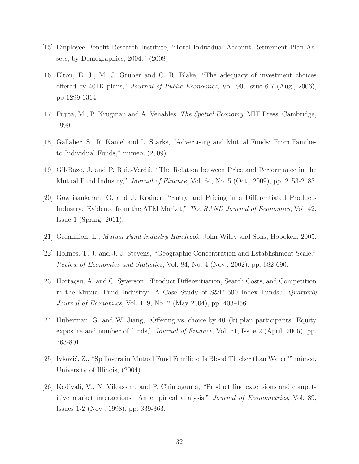- [15] Employee Benefit Research Institute, "Total Individual Account Retirement Plan Assets, by Demographics, 2004." (2008).
- [16] Elton, E. J., M. J. Gruber and C. R. Blake, "The adequacy of investment choices offered by 401K plans," *Journal of Public Economics*, Vol. 90, Issue 6-7 (Aug., 2006), pp 1299-1314.
- [17] Fujita, M., P. Krugman and A. Venables, The Spatial Economy, MIT Press, Cambridge, 1999.
- [18] Gallaher, S., R. Kaniel and L. Starks, "Advertising and Mutual Funds: From Families to Individual Funds," mimeo, (2009).
- [19] Gil-Bazo, J. and P. Ruiz-Verd´u, "The Relation between Price and Performance in the Mutual Fund Industry," *Journal of Finance*, Vol. 64, No. 5 (Oct., 2009), pp. 2153-2183.
- [20] Gowrisankaran, G. and J. Krainer, "Entry and Pricing in a Differentiated Products Industry: Evidence from the ATM Market," The RAND Journal of Economics, Vol. 42, Issue 1 (Spring, 2011).
- [21] Gremillion, L., Mutual Fund Industry Handbook, John Wiley and Sons, Hoboken, 2005.
- [22] Holmes, T. J. and J. J. Stevens, "Geographic Concentration and Establishment Scale," Review of Economics and Statistics, Vol. 84, No. 4 (Nov., 2002), pp. 682-690.
- [23] Hortaçsu, A. and C. Syverson, "Product Differentiation, Search Costs, and Competition in the Mutual Fund Industry: A Case Study of S&P 500 Index Funds," Quarterly Journal of Economics, Vol. 119, No. 2 (May 2004), pp. 403-456.
- [24] Huberman, G. and W. Jiang, "Offering vs. choice by 401(k) plan participants: Equity exposure and number of funds," *Journal of Finance*, Vol. 61, Issue 2 (April, 2006), pp. 763-801.
- [25] Ivković, Z., "Spillovers in Mutual Fund Families: Is Blood Thicker than Water?" mimeo, University of Illinois, (2004).
- [26] Kadiyali, V., N. Vilcassim, and P. Chintagunta, "Product line extensions and competitive market interactions: An empirical analysis," Journal of Econometrics, Vol. 89, Issues 1-2 (Nov., 1998), pp. 339-363.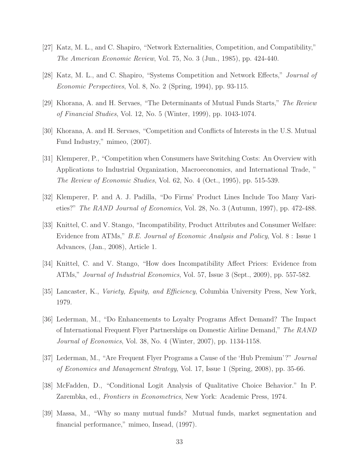- [27] Katz, M. L., and C. Shapiro, "Network Externalities, Competition, and Compatibility," The American Economic Review, Vol. 75, No. 3 (Jun., 1985), pp. 424-440.
- [28] Katz, M. L., and C. Shapiro, "Systems Competition and Network Effects," Journal of Economic Perspectives, Vol. 8, No. 2 (Spring, 1994), pp. 93-115.
- [29] Khorana, A. and H. Servaes, "The Determinants of Mutual Funds Starts," The Review of Financial Studies, Vol. 12, No. 5 (Winter, 1999), pp. 1043-1074.
- [30] Khorana, A. and H. Servaes, "Competition and Conflicts of Interests in the U.S. Mutual Fund Industry," mimeo, (2007).
- [31] Klemperer, P., "Competition when Consumers have Switching Costs: An Overview with Applications to Industrial Organization, Macroeconomics, and International Trade, " The Review of Economic Studies, Vol. 62, No. 4 (Oct., 1995), pp. 515-539.
- [32] Klemperer, P. and A. J. Padilla, "Do Firms' Product Lines Include Too Many Varieties?" The RAND Journal of Economics, Vol. 28, No. 3 (Autumn, 1997), pp. 472-488.
- [33] Knittel, C. and V. Stango, "Incompatibility, Product Attributes and Consumer Welfare: Evidence from ATMs," B.E. Journal of Economic Analysis and Policy, Vol. 8 : Issue 1 Advances, (Jan., 2008), Article 1.
- [34] Knittel, C. and V. Stango, "How does Incompatibility Affect Prices: Evidence from ATMs," Journal of Industrial Economics, Vol. 57, Issue 3 (Sept., 2009), pp. 557-582.
- [35] Lancaster, K., Variety, Equity, and Efficiency, Columbia University Press, New York, 1979.
- [36] Lederman, M., "Do Enhancements to Loyalty Programs Affect Demand? The Impact of International Frequent Flyer Partnerships on Domestic Airline Demand," The RAND Journal of Economics, Vol. 38, No. 4 (Winter, 2007), pp. 1134-1158.
- [37] Lederman, M., "Are Frequent Flyer Programs a Cause of the 'Hub Premium'?" Journal of Economics and Management Strategy, Vol. 17, Issue 1 (Spring, 2008), pp. 35-66.
- [38] McFadden, D., "Conditional Logit Analysis of Qualitative Choice Behavior." In P. Zarembka, ed., Frontiers in Econometrics, New York: Academic Press, 1974.
- [39] Massa, M., "Why so many mutual funds? Mutual funds, market segmentation and financial performance," mimeo, Insead, (1997).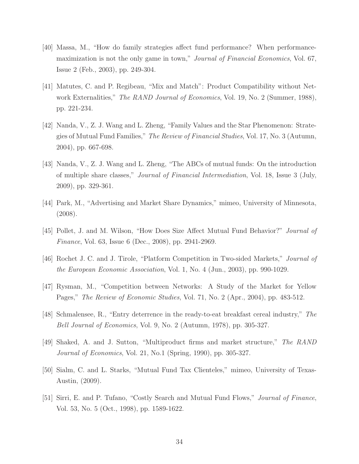- [40] Massa, M., "How do family strategies affect fund performance? When performancemaximization is not the only game in town," *Journal of Financial Economics*, Vol. 67, Issue 2 (Feb., 2003), pp. 249-304.
- [41] Matutes, C. and P. Regibeau, "Mix and Match": Product Compatibility without Network Externalities," *The RAND Journal of Economics*, Vol. 19, No. 2 (Summer, 1988), pp. 221-234.
- [42] Nanda, V., Z. J. Wang and L. Zheng, "Family Values and the Star Phenomenon: Strategies of Mutual Fund Families," The Review of Financial Studies, Vol. 17, No. 3 (Autumn, 2004), pp. 667-698.
- [43] Nanda, V., Z. J. Wang and L. Zheng, "The ABCs of mutual funds: On the introduction of multiple share classes," Journal of Financial Intermediation, Vol. 18, Issue 3 (July, 2009), pp. 329-361.
- [44] Park, M., "Advertising and Market Share Dynamics," mimeo, University of Minnesota, (2008).
- [45] Pollet, J. and M. Wilson, "How Does Size Affect Mutual Fund Behavior?" Journal of Finance, Vol. 63, Issue 6 (Dec., 2008), pp. 2941-2969.
- [46] Rochet J. C. and J. Tirole, "Platform Competition in Two-sided Markets," Journal of the European Economic Association, Vol. 1, No. 4 (Jun., 2003), pp. 990-1029.
- [47] Rysman, M., "Competition between Networks: A Study of the Market for Yellow Pages," The Review of Economic Studies, Vol. 71, No. 2 (Apr., 2004), pp. 483-512.
- [48] Schmalensee, R., "Entry deterrence in the ready-to-eat breakfast cereal industry," The Bell Journal of Economics, Vol. 9, No. 2 (Autumn, 1978), pp. 305-327.
- [49] Shaked, A. and J. Sutton, "Multiproduct firms and market structure," The RAND Journal of Economics, Vol. 21, No.1 (Spring, 1990), pp. 305-327.
- [50] Sialm, C. and L. Starks, "Mutual Fund Tax Clienteles," mimeo, University of Texas-Austin, (2009).
- [51] Sirri, E. and P. Tufano, "Costly Search and Mutual Fund Flows," Journal of Finance, Vol. 53, No. 5 (Oct., 1998), pp. 1589-1622.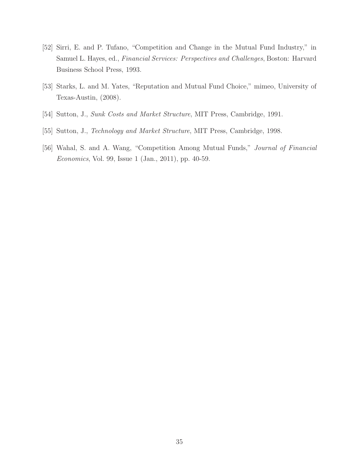- [52] Sirri, E. and P. Tufano, "Competition and Change in the Mutual Fund Industry," in Samuel L. Hayes, ed., Financial Services: Perspectives and Challenges, Boston: Harvard Business School Press, 1993.
- [53] Starks, L. and M. Yates, "Reputation and Mutual Fund Choice," mimeo, University of Texas-Austin, (2008).
- [54] Sutton, J., Sunk Costs and Market Structure, MIT Press, Cambridge, 1991.
- [55] Sutton, J., Technology and Market Structure, MIT Press, Cambridge, 1998.
- [56] Wahal, S. and A. Wang, "Competition Among Mutual Funds," Journal of Financial Economics, Vol. 99, Issue 1 (Jan., 2011), pp. 40-59.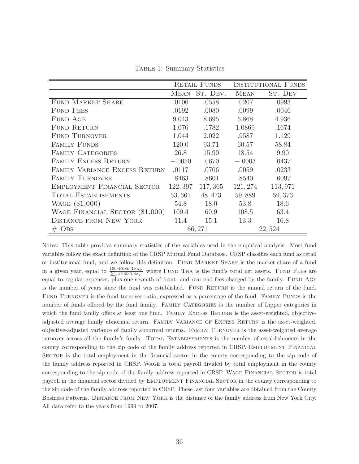RETAIL FUNDS INSTITUTIONAL FUNDS Mean St. Dev. Mean St. Dev FUND MARKET SHARE .0106 .0558 .0207 .0993 FUND FEES .0192 .0080 .0099 .0046 FUND AGE 3.043 8.695 6.868 4.936 FUND RETURN 1.076 .1782 1.0869 .1674 FUND TURNOVER 1.044 2.022 .9587 1.129 FAMILY FUNDS 120.0 93.71 60.57 58.84 FAMILY CATEGORIES 26.8 15.90 18.54 9.90 Family Excess Return −.0050 .0670 −.0003 .0437 Family Variance Excess Return .0117 .0706 .0059 .0233 Family Turnover .8463 .8601 .8540 .6097 Employment Financial Sector 122, 397 117, 365 121, 274 113, 971 Total Establishments 53, 661 48, 473 59, 889 59, 373 WAGE (\$1,000) 54.8 18.0 53.8 18.6 Wage Financial Sector (\$1,000) 109.4 60.9 108.5 63.4 DISTANCE FROM NEW YORK 11.4 15.1 13.3 16.8  $\#\text{ Obs}$  66, 271 22, 524

Table 1: Summary Statistics

Notes: This table provides summary statistics of the variables used in the empirical analysis. Most fund variables follow the exact definition of the CRSP Mutual Fund Database. CRSP classifies each fund as retail or institutional fund, and we follow this definition. Fund Market Share is the market share of a fund in a given year, equal to  $\frac{100*FUND TNA_{jt}}{\sum_j FUND TNA_{jt}}$  where FUND TNA is the fund's total net assets. FUND FEES are equal to regular expenses, plus one seventh of front- and rear-end fees charged by the family. FUND AGE is the number of years since the fund was established. FUND RETURN is the annual return of the fund. FUND TURNOVER is the fund turnover ratio, expressed as a percentage of the fund. FAMILY FUNDS is the number of funds offered by the fund family. FAMILY CATEGORIES is the number of Lipper categories in which the fund family offers at least one fund. FAMILY EXCESS RETURN is the asset-weighted, objectiveadjusted average family abnormal return. FAMILY VARIANCE OF EXCESS RETURN is the asset-weighted, objective-adjusted variance of family abnormal returns. Family Turnover is the asset-weighted average turnover across all the family's funds. TOTAL ESTABLISHMENTS is the number of establishments in the county corresponding to the zip code of the family address reported in CRSP. EMPLOYMENT FINANCIAL SECTOR is the total employment in the financial sector in the county corresponding to the zip code of the family address reported in CRSP. Wage is total payroll divided by total employment in the county corresponding to the zip code of the family address reported in CRSP. WAGE FINANCIAL SECTOR is total payroll in the financial sector divided by Employment Financial Sector in the county corresponding to the zip code of the family address reported in CRSP. These last four variables are obtained from the County Business Patterns. Distance from New York is the distance of the family address from New York City. All data refer to the years from 1999 to 2007.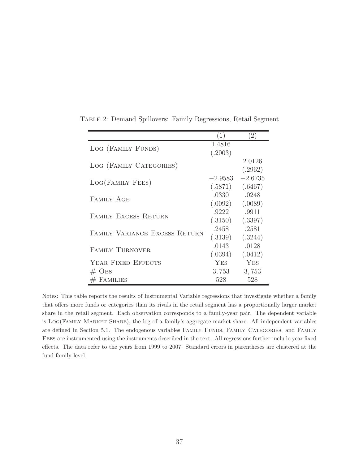|                               | 1          | $^{(2)}$  |
|-------------------------------|------------|-----------|
| LOG (FAMILY FUNDS)            | 1.4816     |           |
|                               | (.2003)    |           |
| LOG (FAMILY CATEGORIES)       |            | 2.0126    |
|                               |            | (.2962)   |
|                               | $-2.9583$  | $-2.6735$ |
| LOG(FAMILY FEES)              | (.5871)    | (.6467)   |
| <b>FAMILY AGE</b>             | .0330      | .0248     |
|                               | (.0092)    | (.0089)   |
| <b>FAMILY EXCESS RETURN</b>   | .9222      | .9911     |
|                               | (.3150)    | (.3397)   |
| FAMILY VARIANCE EXCESS RETURN | .2458      | .2581     |
|                               | (.3139)    | (.3244)   |
|                               | .0143      | .0128     |
| <b>FAMILY TURNOVER</b>        | (.0394)    | (.0412)   |
| YEAR FIXED EFFECTS            | <b>YES</b> | YES       |
| $#$ OBS                       | 3,753      | 3,753     |
| FAMILIES                      | 528        | 528       |

Table 2: Demand Spillovers: Family Regressions, Retail Segment

Notes: This table reports the results of Instrumental Variable regressions that investigate whether a family that offers more funds or categories than its rivals in the retail segment has a proportionally larger market share in the retail segment. Each observation corresponds to a family-year pair. The dependent variable is Log(Family Market Share), the log of a family's aggregate market share. All independent variables are defined in Section 5.1. The endogenous variables FAMILY FUNDS, FAMILY CATEGORIES, and FAMILY Fees are instrumented using the instruments described in the text. All regressions further include year fixed effects. The data refer to the years from 1999 to 2007. Standard errors in parentheses are clustered at the fund family level.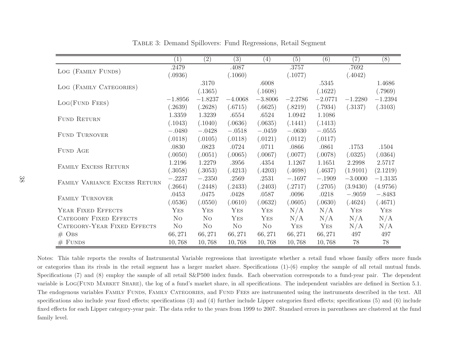|                               | (1)            | (2)            | (3)            | (4)            | (5)       | (6)       | (7)       | (8)       |
|-------------------------------|----------------|----------------|----------------|----------------|-----------|-----------|-----------|-----------|
| LOG (FAMILY FUNDS)            | .2479          |                | .4087          |                | $.3757\,$ |           | .7692     |           |
|                               | (.0936)        |                | (.1060)        |                | (.1077)   |           | (.4042)   |           |
| LOG (FAMILY CATEGORIES)       |                | .3170          |                | .6008          |           | .5345     |           | 1.4686    |
|                               |                | (.1365)        |                | (.1608)        |           | (.1622)   |           | (.7969)   |
|                               | $-1.8956$      | $-1.8237$      | $-4.0068$      | $-3.8006$      | $-2.2786$ | $-2.0771$ | $-1.2280$ | $-1.2394$ |
| Log(FUND FEES)                | .2639)         | (.2628)        | (.6715)        | (.6625)        | (.8219)   | (.7934)   | (.3137)   | (.3103)   |
|                               | 1.3359         | 1.3239         | .6554          | .6524          | 1.0942    | 1.1086    |           |           |
| FUND RETURN                   | (.1043)        | (.1040)        | (.0636)        | (.0635)        | (.1441)   | (.1413)   |           |           |
| <b>FUND TURNOVER</b>          | $-.0480$       | $-.0428$       | $-.0518$       | $-.0459$       | $-.0630$  | $-.0555$  |           |           |
|                               | (.0118)        | (.0105)        | (.0118)        | (.0121)        | (.0112)   | (.0117)   |           |           |
| FUND AGE                      | .0830          | .0823          | .0724          | .0711          | .0866     | .0861     | .1753     | .1504     |
|                               | (.0050)        | (.0051)        | (.0065)        | (.0067)        | (.0077)   | (.0078)   | (.0325)   | (.0364)   |
| FAMILY EXCESS RETURN          | 1.2196         | 1.2279         | .3956          | .4354          | 1.1267    | 1.1651    | 2.2998    | 2.5717    |
|                               | (.3058)        | (.3053)        | (.4213)        | (.4203)        | (.4698)   | (.4637)   | (1.9101)  | (2.1219)  |
| FAMILY VARIANCE EXCESS RETURN | $-.2237$       | $-.2350$       | .2569          | .2531          | $-.1697$  | $-.1909$  | $-3.0000$ | $-1.3135$ |
|                               | (.2664)        | (.2448)        | (.2433)        | (.2403)        | (.2717)   | (.2705)   | (3.9430)  | (4.9756)  |
| FAMILY TURNOVER               | .0453          | .0475          | .0428          | .0587          | .0096     | .0218     | $-.9059$  | $-.8483$  |
|                               | (.0536)        | (.0550)        | (.0610)        | (.0632)        | (.0605)   | (.0630)   | (.4624)   | (.4671)   |
| YEAR FIXED EFFECTS            | YES            | YES            | YES            | YES            | N/A       | N/A       | YES       | YES       |
| <b>CATEGORY FIXED EFFECTS</b> | N <sub>O</sub> | N <sub>O</sub> | YES            | YES            | N/A       | N/A       | N/A       | N/A       |
| CATEGORY-YEAR FIXED EFFECTS   | N <sub>O</sub> | N <sub>O</sub> | N <sub>O</sub> | N <sub>O</sub> | YES       | YES       | N/A       | N/A       |
| $#$ OBS                       | 66, 271        | 66, 271        | 66, 271        | 66, 271        | 66, 271   | 66, 271   | 497       | 497       |
| $#$ FUNDS                     | 10,768         | 10,768         | 10,768         | 10,768         | 10,768    | 10,768    | 78        | 78        |

Table 3: Demand Spillovers: Fund Regressions, Retail Segment

Notes: This table reports the results of Instrumental Variable regressions that investigate whether a retail fund whose family offers more funds or categories than its rivals in the retail segment has a larger market share. Specifications (1)-(6) employ the sample of all retail mutual funds. Specifications (7) and (8) employ the sample of all retail S&P500 index funds. Each observation corresponds to a fund-year pair. The dependent variable is Log(Fund Market Share), the log of a fund's market share, in all specifications. The independent variables are defined in Section 5.1. The endogenous variables FAMILY FUNDS, FAMILY CATEGORIES, and FUND FEES are instrumented using the instruments described in the text. All specifications also include year fixed effects; specifications (3) and (4) further include Lipper categories fixed effects; specifications (5) and (6) include fixed effects for each Lipper category-year pair. The data refer to the years from 1999 to 2007. Standard errors in parentheses are clustered at the fund family level.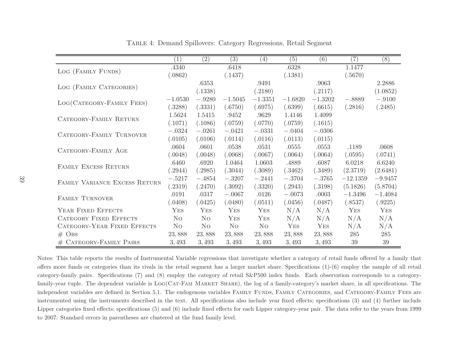|                               | (1)            | (2)            | (3)            | (4)            | (5)       | (6)       | (7)        | (8)        |
|-------------------------------|----------------|----------------|----------------|----------------|-----------|-----------|------------|------------|
| LOG (FAMILY FUNDS)            | .4340          |                | .6418          |                | .6328     |           | 1.1477     |            |
|                               | (.0862)        |                | (.1437)        |                | (.1381)   |           | (.5670)    |            |
| LOG (FAMILY CATEGORIES)       |                | .6353          |                | .9491          |           | .9063     |            | 2.2886     |
|                               |                | (.1338)        |                | (.2180)        |           | (.2117)   |            | (1.0852)   |
| LOG(CATEGORY-FAMILY FEES)     | $-1.0530$      | $-.9280$       | $-1.5045$      | $-1.3351$      | $-1.6820$ | $-1.3202$ | $-.8889$   | $-.9100$   |
|                               | (.3288)        | (.3331)        | (.6750)        | (.6975)        | (.6399)   | (.6615)   | (.2816)    | (.2485)    |
| CATEGORY-FAMILY RETURN        | 1.5624         | 1.5415         | .9452          | .9629          | 1.4146    | 1.4099    |            |            |
|                               | (.1071)        | (.1086)        | (.0759)        | (.0770)        | (.0759)   | (.1615)   |            |            |
| CATEGORY-FAMILY TURNOVER      | $-.0324$       | $-.0261$       | $-.0421$       | $-.0331$       | $-.0404$  | $-.0306$  |            |            |
|                               | (.0105)        | (.0106)        | (.0114)        | (.0116)        | (.0113)   | (.0115)   |            |            |
| CATEGORY-FAMILY AGE           | .0604          | .0601          | .0538          | .0531          | .0555     | .0553     | .1189      | .0608      |
|                               | (.0048)        | (.0048)        | (.0068)        | (.0067)        | (.0064)   | (.0064)   | (.0595)    | (.0741)    |
| FAMILY EXCESS RETURN          | .6460          | .6920          | 1.0464         | 1.0603         | .4889     | .6087     | 6.0218     | 6.6240     |
|                               | (.2944)        | (.2985)        | (.3044)        | (.3089)        | (.3462)   | (.3489)   | (2.3719)   | (2.6481)   |
| FAMILY VARIANCE EXCESS RETURN | $-.5217$       | $-.4854$       | $-.3207$       | $-.2441$       | $-.3704$  | $-.3765$  | $-12.1359$ | $-9.9457$  |
|                               | (.2319)        | (.2470)        | (.3092)        | (.3320)        | (.2943)   | (.3198)   | (5.1826)   | (5.8704)   |
| FAMILY TURNOVER               | .0191          | .0317          | $-.0067$       | .0126          | $-.0073$  | .0003     | $-1.3496$  | $-1.4084$  |
|                               | (.0408)        | (.0425)        | (.0480)        | (.0511)        | (.0456)   | (.0487)   | (.8537)    | (.9225)    |
| YEAR FIXED EFFECTS            | YES            | YES            | YES            | YES            | N/A       | N/A       | YES        | <b>YES</b> |
| <b>CATEGORY FIXED EFFECTS</b> | No.            | N <sub>O</sub> | YES            | YES            | N/A       | N/A       | N/A        | N/A        |
| CATEGORY-YEAR FIXED EFFECTS   | N <sub>O</sub> | N <sub>O</sub> | N <sub>O</sub> | N <sub>O</sub> | YES       | YES       | N/A        | N/A        |
| $#$ OBS                       | 23,888         | 23,888         | 23,888         | 23,888         | 23,888    | 23,888    | 285        | 285        |
| # CATEGORY-FAMILY PAIRS       | 3,493          | 3,493          | 3,493          | 3,493          | 3,493     | 3,493     | 39         | 39         |

Table 4: Demand Spillovers: Category Regressions, Retail Segment

Notes: This table reports the results of Instrumental Variable regressions that investigate whether a category of retail funds offered by a family that offers more funds or categories than its rivals in the retail segment has a larger market share. Specifications  $(1)-(6)$  employ the sample of all retail category-family pairs. Specifications (7) and (8) employ the category of retail S&P500 index funds. Each observation corresponds to a categoryfamily-year tuple. The dependent variable is LOG(CAT-FAM MARKET SHARE), the log of a family-category's market share, in all specifications. The independent variables are defined in Section 5.1. The endogenous variables FAMILY FUNDS, FAMILY CATEGORIES, and CATEGORY-FAMILY FEES are instrumented using the instruments described in the text. All specifications also include year fixed effects; specifications (3) and (4) further include Lipper categories fixed effects; specifications (5) and (6) include fixed effects for each Lipper category-year pair. The data refer to the years from 1999 to 2007. Standard errors in parentheses are clustered at the fund family level.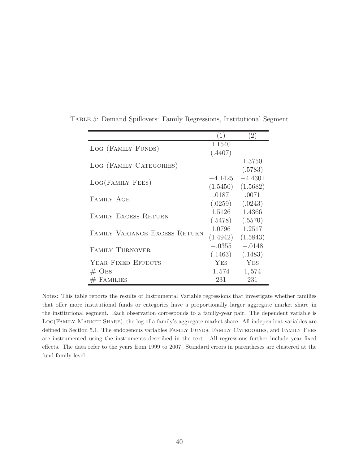|                               | 1         | $\left( 2\right)$ |
|-------------------------------|-----------|-------------------|
| LOG (FAMILY FUNDS)            | 1.1540    |                   |
|                               | (.4407)   |                   |
| LOG (FAMILY CATEGORIES)       |           | 1.3750            |
|                               |           | (.5783)           |
| LOG(FAMILY FEES)              | $-4.1425$ | $-4.4301$         |
|                               | (1.5450)  | (1.5682)          |
| FAMILY AGE                    | .0187     | .0071             |
|                               | (.0259)   | (.0243)           |
| <b>FAMILY EXCESS RETURN</b>   | 1.5126    | 1.4366            |
|                               | (.5478)   | (.5570)           |
| FAMILY VARIANCE EXCESS RETURN | 1.0796    | 1.2517            |
|                               | (1.4942)  | (1.5843)          |
| <b>FAMILY TURNOVER</b>        | $-.0355$  | $-.0148$          |
|                               | (.1463)   | (.1483)           |
| YEAR FIXED EFFECTS            | YES       | YES               |
| $\#$ OBS                      | 1,574     | 1,574             |
| <b>FAMILIES</b><br>#          | 231       | 231               |

Table 5: Demand Spillovers: Family Regressions, Institutional Segment

Notes: This table reports the results of Instrumental Variable regressions that investigate whether families that offer more institutional funds or categories have a proportionally larger aggregate market share in the institutional segment. Each observation corresponds to a family-year pair. The dependent variable is Log(Family Market Share), the log of a family's aggregate market share. All independent variables are defined in Section 5.1. The endogenous variables FAMILY FUNDS, FAMILY CATEGORIES, and FAMILY FEES are instrumented using the instruments described in the text. All regressions further include year fixed effects. The data refer to the years from 1999 to 2007. Standard errors in parentheses are clustered at the fund family level.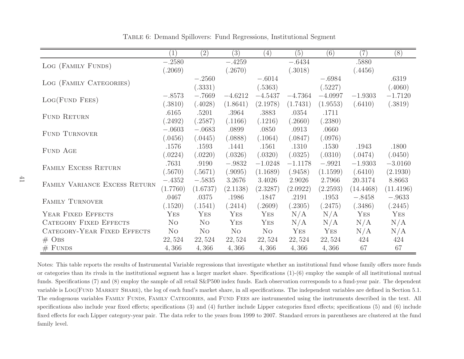|                               | (1)            | (2)            | (3)            | (4)            | (5)       | (6)       | (7)       | (8)       |
|-------------------------------|----------------|----------------|----------------|----------------|-----------|-----------|-----------|-----------|
| LOG (FAMILY FUNDS)            | $-.2580$       |                | $-.4259$       |                | $-.6434$  |           | .5880     |           |
|                               | .2069)         |                | (.2670)        |                | (.3018)   |           | (.4456)   |           |
| LOG (FAMILY CATEGORIES)       |                | $-.2560$       |                | $-.6014$       |           | $-.6984$  |           | .6319     |
|                               |                | (.3331)        |                | (.5363)        |           | (.5227)   |           | (.4060)   |
| LOG(FUND FEES)                | $-.8573$       | $-.7669$       | $-4.6212$      | $-4.5437$      | $-4.7364$ | $-4.0997$ | $-1.9303$ | $-1.7120$ |
|                               | (.3810)        | (.4028)        | (1.8641)       | (2.1978)       | (1.7431)  | (1.9553)  | (.6410)   | (.3819)   |
| <b>FUND RETURN</b>            | .6165          | .5201          | .3964          | .3883          | .0354     | .1711     |           |           |
|                               | (.2492)        | (.2587)        | (.1166)        | (.1216)        | (.2660)   | (.2380)   |           |           |
| <b>FUND TURNOVER</b>          | $-.0603$       | $-.0683$       | .0899          | .0850          | .0913     | .0660     |           |           |
|                               | (.0456)        | (.0445)        | (.0888)        | (.1064)        | (.0847)   | (.0976)   |           |           |
| FUND AGE                      | .1576          | .1593          | .1441          | .1561          | .1310     | .1530     | .1943     | .1800     |
|                               | (.0224)        | (.0220)        | (.0326)        | (.0320)        | (.0325)   | (.0310)   | (.0474)   | (.0450)   |
| FAMILY EXCESS RETURN          | .7631          | .9190          | $-.9832$       | $-1.0248$      | $-1.1178$ | $-.9921$  | $-1.9303$ | $-3.0160$ |
|                               | (.5670)        | (.5671)        | (.9095)        | (1.1689)       | (.9458)   | (1.1599)  | (.6410)   | (2.1930)  |
| FAMILY VARIANCE EXCESS RETURN | $-.4352$       | $-.5835$       | 3.2676         | 3.4026         | 2.9026    | 2.7966    | 20.3174   | 8.8663    |
|                               | (1.7760)       | (1.6737)       | (2.1138)       | (2.3287)       | (2.0922)  | (2.2593)  | (14.4468) | (11.4196) |
| FAMILY TURNOVER               | .0467          | .0375          | .1986          | .1847          | .2191     | .1953     | $-.8458$  | $-.9633$  |
|                               | (.1520)        | (.1541)        | (.2414)        | (.2609)        | (.2305)   | (.2475)   | (.3486)   | (.2445)   |
| YEAR FIXED EFFECTS            | YES            | YES            | YES            | YES            | N/A       | N/A       | YES       | YES       |
| <b>CATEGORY FIXED EFFECTS</b> | N <sub>O</sub> | N <sub>O</sub> | YES            | YES            | N/A       | N/A       | N/A       | N/A       |
| CATEGORY-YEAR FIXED EFFECTS   | N <sub>O</sub> | N <sub>O</sub> | N <sub>O</sub> | N <sub>O</sub> | YES       | YES       | N/A       | N/A       |
| $\#$ OBS                      | 22,524         | 22,524         | 22,524         | 22,524         | 22,524    | 22,524    | 424       | 424       |
| $#$ FUNDS                     | 4,366          | 4,366          | 4,366          | 4,366          | 4,366     | 4,366     | 67        | 67        |

Table 6: Demand Spillovers: Fund Regressions, Institutional Segment

Notes: This table reports the results of Instrumental Variable regressions that investigate whether an institutional fund whose family offers more funds or categories than its rivals in the institutional segment has a larger market share. Specifications (1)-(6) employ the sample of all institutional mutual funds. Specifications (7) and (8) employ the sample of all retail S&P500 index funds. Each observation corresponds to a fund-year pair. The dependent variable is LOG(FUND MARKET SHARE), the log of each fund's market share, in all specifications. The independent variables are defined in Section 5.1. The endogenous variables FAMILY FUNDS, FAMILY CATEGORIES, and FUND FEES are instrumented using the instruments described in the text. All specifications also include year fixed effects; specifications (3) and (4) further include Lipper categories fixed effects; specifications (5) and (6) include fixed effects for each Lipper category-year pair. The data refer to the years from 1999 to 2007. Standard errors in parentheses are clustered at the fund family level.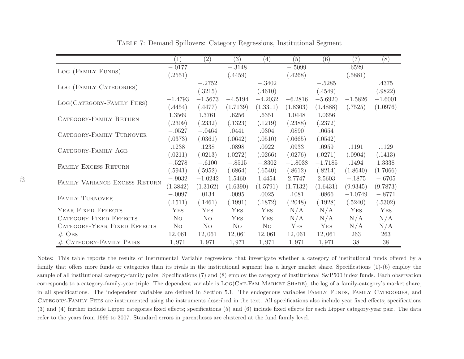|                               | (1)            | (2)            | (3)            | (4)            | (5)       | (6)       | (7)       | (8)       |
|-------------------------------|----------------|----------------|----------------|----------------|-----------|-----------|-----------|-----------|
| LOG (FAMILY FUNDS)            | $-.0177$       |                | $-.3148$       |                | $-.5099$  |           | .6529     |           |
|                               | (.2551)        |                | (.4459)        |                | (.4268)   |           | (.5881)   |           |
|                               |                | $-.2752$       |                | $-.3402$       |           | $-.5285$  |           | .4375     |
| LOG (FAMILY CATEGORIES)       |                | (.3215)        |                | (.4610)        |           | (.4549)   |           | (.9822)   |
|                               | $-1.4793$      | $-1.5673$      | $-4.5194$      | $-4.2032$      | $-6.2816$ | $-5.6920$ | $-1.5826$ | $-1.6001$ |
| LOG(CATEGORY-FAMILY FEES)     | (.4454)        | (.4477)        | (1.7139)       | (1.3311)       | (1.8303)  | (1.4888)  | (.7525)   | (1.0976)  |
| CATEGORY-FAMILY RETURN        | 1.3569         | 1.3761         | .6256          | .6351          | 1.0448    | 1.0656    |           |           |
|                               | (.2309)        | (.2332)        | (.1323)        | (.1219)        | (.2388)   | (.2372)   |           |           |
| CATEGORY-FAMILY TURNOVER      | $-.0527$       | $-.0464$       | .0441          | .0304          | .0890     | .0654     |           |           |
|                               | (.0373)        | (.0361)        | (.0642)        | (.0510)        | (.0665)   | (.0542)   |           |           |
| CATEGORY-FAMILY AGE           | .1238          | .1238          | .0898          | .0922          | .0933     | .0959     | .1191     | .1129     |
|                               | (.0211)        | (.0213)        | (.0272)        | (.0266)        | (.0276)   | (.0271)   | (.0904)   | (.1413)   |
| FAMILY EXCESS RETURN          | $-.5278$       | $-.6100$       | $-.8515$       | $-.8302$       | $-1.8038$ | $-1.7185$ | .1494     | 1.3338    |
|                               | (.5941)        | (.5952)        | (.6864)        | (.6540)        | (.8612)   | (.8214)   | (1.8640)  | (1.7066)  |
| FAMILY VARIANCE EXCESS RETURN | $-.9032$       | $-1.0242$      | 1.5460         | 1.4454         | 2.7747    | 2.5603    | $-.1875$  | $-.6705$  |
|                               | (1.3842)       | (1.3162)       | (1.6390)       | (1.5791)       | (1.7132)  | (1.6431)  | (9.9345)  | (9.7873)  |
| FAMILY TURNOVER               | $-.0097$       | .0134          | .0095          | .0025          | .1081     | .0866     | $-1.0749$ | $-.8771$  |
|                               | (.1511)        | (.1461)        | (.1991)        | (.1872)        | (.2048)   | (.1928)   | (.5240)   | (.5302)   |
| YEAR FIXED EFFECTS            | YES            | YES            | YES            | YES            | N/A       | N/A       | YES       | YES       |
| <b>CATEGORY FIXED EFFECTS</b> | N <sub>O</sub> | N <sub>O</sub> | YES            | YES            | N/A       | N/A       | N/A       | N/A       |
| CATEGORY-YEAR FIXED EFFECTS   | N <sub>O</sub> | N <sub>O</sub> | N <sub>O</sub> | N <sub>O</sub> | YES       | YES       | N/A       | N/A       |
| $#$ OBS                       | 12,061         | 12,061         | 12,061         | 12,061         | 12,061    | 12,061    | 263       | 263       |
| # CATEGORY-FAMILY PAIRS       | 1,971          | 1,971          | 1,971          | 1,971          | 1,971     | 1,971     | 38        | 38        |

Table 7: Demand Spillovers: Category Regressions, Institutional Segment

Notes: This table reports the results of Instrumental Variable regressions that investigate whether a category of institutional funds offered by a family that offers more funds or categories than its rivals in the institutional segment has a larger market share. Specifications (1)-(6) employ the sample of all institutional category-family pairs. Specifications (7) and (8) employ the category of institutional S&P500 index funds. Each observation corresponds to a category-family-year triple. The dependent variable is Log(Cat-Fam Market Share), the log of a family-category's market share, in all specifications. The independent variables are defined in Section 5.1. The endogenous variables FAMILY FUNDS, FAMILY CATEGORIES, and Category-Family Fees are instrumented using the instruments described in the text. All specifications also include year fixed effects; specifications (3) and (4) further include Lipper categories fixed effects; specifications (5) and (6) include fixed effects for each Lipper category-year pair. The data refer to the years from 1999 to 2007. Standard errors in parentheses are clustered at the fund family level.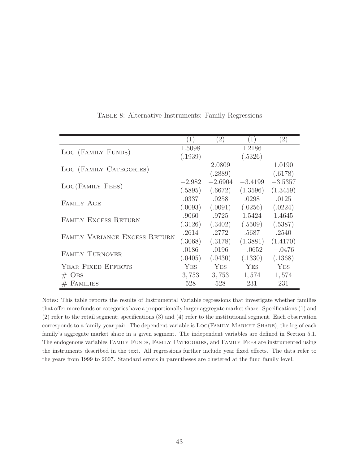|                               | $\overline{1}$ | $\left(2\right)$ | $\left(1\right)$ | $\left(2\right)$ |
|-------------------------------|----------------|------------------|------------------|------------------|
| LOG (FAMILY FUNDS)            | 1.5098         |                  | 1.2186           |                  |
|                               | (.1939)        |                  | (.5326)          |                  |
|                               |                | 2.0809           |                  | 1.0190           |
| LOG (FAMILY CATEGORIES)       |                | (.2889)          |                  | (.6178)          |
| LOG(FAMILY FEES)              | $-2.982$       | $-2.6904$        | $-3.4199$        | $-3.5357$        |
|                               | (.5895)        | (.6672)          | (1.3596)         | (1.3459)         |
| FAMILY AGE                    | .0337          | .0258            | .0298            | .0125            |
|                               | (.0093)        | (.0091)          | (.0256)          | (.0224)          |
|                               | .9060          | .9725            | 1.5424           | 1.4645           |
| FAMILY EXCESS RETURN          | (.3126)        | (.3402)          | (.5509)          | (.5387)          |
|                               | .2614          | .2772            | .5687            | .2540            |
| FAMILY VARIANCE EXCESS RETURN | (.3068)        | (.3178)          | (1.3881)         | (1.4170)         |
|                               | .0186          | .0196            | $-.0652$         | $-.0476$         |
| <b>FAMILY TURNOVER</b>        | (.0405)        | (.0430)          | (.1330)          | (.1368)          |
| YEAR FIXED EFFECTS            | <b>YES</b>     | <b>YES</b>       | YES              | YES              |
| $\#$ OBS                      | 3,753          | 3,753            | 1,574            | 1,574            |
| FAMILIES<br>#                 | 528            | 528              | 231              | 231              |

Table 8: Alternative Instruments: Family Regressions

Notes: This table reports the results of Instrumental Variable regressions that investigate whether families that offer more funds or categories have a proportionally larger aggregate market share. Specifications (1) and (2) refer to the retail segment; specifications (3) and (4) refer to the institutional segment. Each observation corresponds to a family-year pair. The dependent variable is  $LOG(FAMLY)$  MARKET SHARE), the log of each family's aggregate market share in a given segment. The independent variables are defined in Section 5.1. The endogenous variables FAMILY FUNDS, FAMILY CATEGORIES, and FAMILY FEES are instrumented using the instruments described in the text. All regressions further include year fixed effects. The data refer to the years from 1999 to 2007. Standard errors in parentheses are clustered at the fund family level.